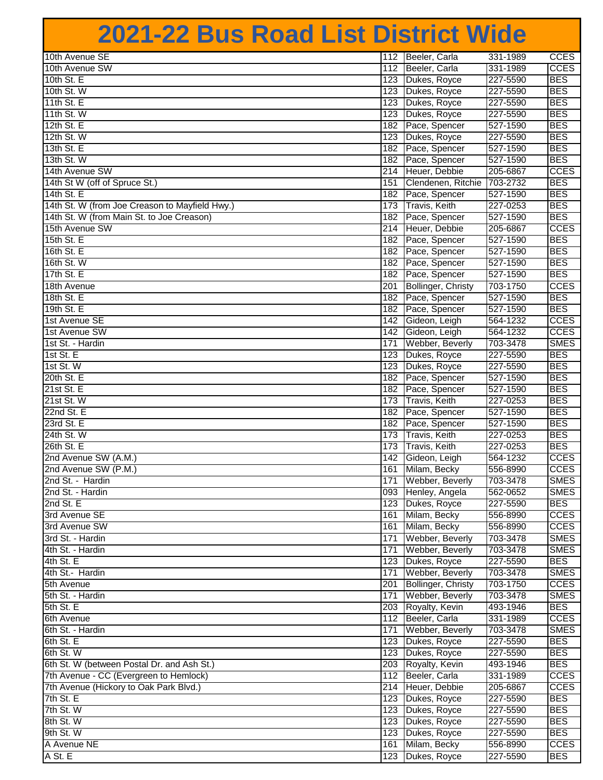## **2021-22 Bus Road List District Wide**

| 10th Avenue SE                                 | 112 | Beeler, Carla          | 331-1989             | <b>CCES</b> |
|------------------------------------------------|-----|------------------------|----------------------|-------------|
| 10th Avenue SW                                 | 112 | Beeler, Carla          | 331-1989             | CCES        |
| 10th St. E                                     |     | 123 Dukes, Royce       | 227-5590             | <b>BES</b>  |
| 10th St. W                                     | 123 | Dukes, Royce           | 227-5590             | <b>BES</b>  |
| 11th St. E                                     | 123 | Dukes, Royce           | 227-5590             | <b>BES</b>  |
| 11th St. W                                     | 123 | Dukes, Royce           | 227-5590             | <b>BES</b>  |
| 12th St. E                                     | 182 | Pace, Spencer          | 527-1590             | <b>BES</b>  |
| 12th St. W                                     | 123 | Dukes, Royce           | 227-5590             | <b>BES</b>  |
|                                                |     |                        |                      | <b>BES</b>  |
| 13th St. E<br>13th St. W                       |     | 182 Pace, Spencer      | 527-1590<br>527-1590 | <b>BES</b>  |
|                                                |     | 182 Pace, Spencer      |                      |             |
| 14th Avenue SW                                 |     | 214 Heuer, Debbie      | 205-6867             | <b>CCES</b> |
| 14th St W (off of Spruce St.)                  | 151 | Clendenen, Ritchie     | 703-2732             | <b>BES</b>  |
| 14th St. E                                     |     | 182 Pace, Spencer      | 527-1590             | <b>BES</b>  |
| 14th St. W (from Joe Creason to Mayfield Hwy.) |     | 173 Travis, Keith      | 227-0253             | <b>BES</b>  |
| 14th St. W (from Main St. to Joe Creason)      |     | 182 Pace, Spencer      | 527-1590             | <b>BES</b>  |
| 15th Avenue SW                                 |     | 214 Heuer, Debbie      | 205-6867             | <b>CCES</b> |
| 15th St. E                                     | 182 | Pace, Spencer          | 527-1590             | <b>BES</b>  |
| 16th St. E                                     |     | 182 Pace, Spencer      | 527-1590             | <b>BES</b>  |
| 16th St. W                                     |     | 182 Pace, Spencer      | 527-1590             | <b>BES</b>  |
| 17th St. E                                     |     | 182 Pace, Spencer      | 527-1590             | <b>BES</b>  |
| 18th Avenue                                    | 201 | Bollinger, Christy     | 703-1750             | <b>CCES</b> |
| 18th St. E                                     | 182 | Pace, Spencer          | 527-1590             | <b>BES</b>  |
| 19th St. E                                     | 182 | Pace, Spencer          | 527-1590             | <b>BES</b>  |
| 1st Avenue SE                                  | 142 | Gideon, Leigh          | 564-1232             | <b>CCES</b> |
| 1st Avenue SW                                  | 142 | Gideon, Leigh          | 564-1232             | <b>CCES</b> |
| 1st St. - Hardin                               | 171 | Webber, Beverly        | 703-3478             | <b>SMES</b> |
| 1st St. E                                      |     | 123 Dukes, Royce       | 227-5590             | <b>BES</b>  |
| 1st St. W                                      |     | 123 Dukes, Royce       | 227-5590             | <b>BES</b>  |
| 20th St. E                                     |     | 182 Pace, Spencer      | 527-1590             | <b>BES</b>  |
| 21st St. E                                     |     | 182 Pace, Spencer      | 527-1590             | <b>BES</b>  |
| 21st St. W                                     | 173 | Travis, Keith          | 227-0253             | <b>BES</b>  |
| 22nd St. E                                     | 182 | Pace, Spencer          | 527-1590             | <b>BES</b>  |
| 23rd St. E                                     | 182 | Pace, Spencer          | 527-1590             | <b>BES</b>  |
| 24th St. W                                     | 173 | Travis, Keith          | 227-0253             | <b>BES</b>  |
| 26th St. E                                     | 173 | <b>Travis, Keith</b>   | 227-0253             | <b>BES</b>  |
| 2nd Avenue SW (A.M.)                           | 142 | Gideon, Leigh          | 564-1232             | <b>CCES</b> |
| 2nd Avenue SW (P.M.)                           | 161 | Milam, Becky           | 556-8990             | <b>CCES</b> |
| 2nd St. - Hardin                               | 171 | Webber, Beverly        | 703-3478             | <b>SMES</b> |
| 2nd St. - Hardin                               |     | 093 Henley, Angela     | 562-0652             | SMES        |
| 2nd St. E                                      |     | 123 Dukes, Royce       | 227-5590             | <b>BES</b>  |
| 3rd Avenue SE                                  |     | 161 Milam, Becky       | 556-8990             | <b>CCES</b> |
| 3rd Avenue SW                                  |     | 161 Milam, Becky       | 556-8990             | <b>CCES</b> |
| 3rd St. - Hardin                               |     | 171 Webber, Beverly    | 703-3478             | <b>SMES</b> |
| 4th St. - Hardin                               |     | 171 Webber, Beverly    | 703-3478             | <b>SMES</b> |
|                                                |     | 123 Dukes, Royce       | 227-5590             | <b>BES</b>  |
| 4th St. E                                      |     |                        |                      |             |
| 4th St.- Hardin                                |     | 171 Webber, Beverly    | 703-3478             | <b>SMES</b> |
| 5th Avenue                                     |     | 201 Bollinger, Christy | 703-1750             | <b>CCES</b> |
| 5th St. - Hardin                               | 171 | Webber, Beverly        | 703-3478             | <b>SMES</b> |
| 5th St. E                                      |     | 203 Royalty, Kevin     | 493-1946             | <b>BES</b>  |
| 6th Avenue                                     |     | 112 Beeler, Carla      | 331-1989             | <b>CCES</b> |
| 6th St. - Hardin                               | 171 | Webber, Beverly        | 703-3478             | SMES        |
| 6th St. E                                      |     | 123 Dukes, Royce       | 227-5590             | <b>BES</b>  |
| 6th St. W                                      |     | 123 Dukes, Royce       | 227-5590             | <b>BES</b>  |
| 6th St. W (between Postal Dr. and Ash St.)     |     | 203 Royalty, Kevin     | 493-1946             | <b>BES</b>  |
| 7th Avenue - CC (Evergreen to Hemlock)         |     | 112 Beeler, Carla      | 331-1989             | <b>CCES</b> |
| 7th Avenue (Hickory to Oak Park Blvd.)         |     | 214 Heuer, Debbie      | 205-6867             | <b>CCES</b> |
| 7th St. E                                      |     | 123 Dukes, Royce       | 227-5590             | <b>BES</b>  |
| 7th St. W                                      |     | 123 Dukes, Royce       | 227-5590             | <b>BES</b>  |
| 8th St. W                                      |     | 123 Dukes, Royce       | 227-5590             | <b>BES</b>  |
| 9th St. W                                      |     | 123 Dukes, Royce       | 227-5590             | <b>BES</b>  |
| A Avenue NE                                    |     | 161 Milam, Becky       | 556-8990             | <b>CCES</b> |
| A St. E                                        |     | 123 Dukes, Royce       | 227-5590             | <b>BES</b>  |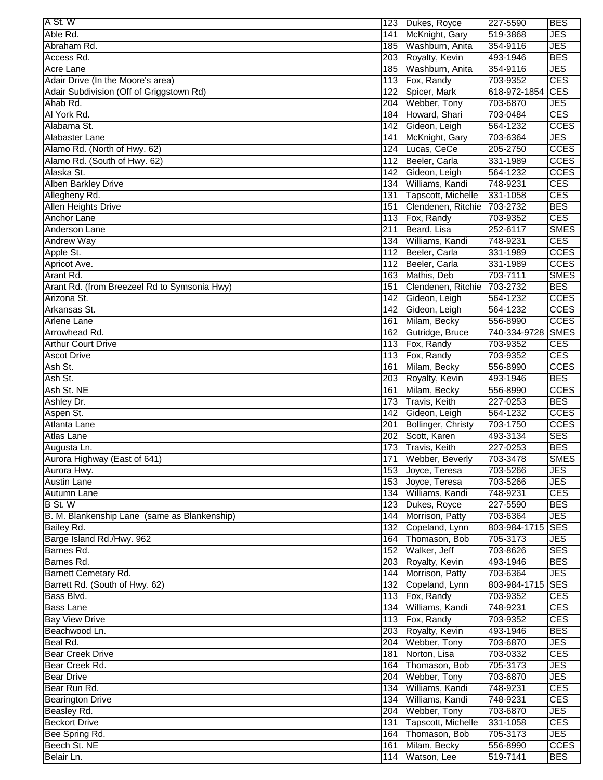| IA St. W                                     |     | 123 Dukes, Royce       | 227-5590         | <b>BES</b>  |
|----------------------------------------------|-----|------------------------|------------------|-------------|
| Able Rd.                                     | 141 | McKnight, Gary         | 519-3868         | JES         |
| Abraham Rd.                                  |     | 185 Washburn, Anita    | 354-9116         | JES         |
| Access Rd.                                   |     | 203 Royalty, Kevin     | 493-1946         | <b>BES</b>  |
| Acre Lane                                    |     | 185 Washburn, Anita    | 354-9116         | JES         |
| Adair Drive (In the Moore's area)            |     | 113 Fox, Randy         | 703-9352         | <b>CES</b>  |
| Adair Subdivision (Off of Griggstown Rd)     | 122 | Spicer, Mark           | 618-972-1854     | <b>CES</b>  |
| Ahab Rd.                                     |     | 204 Webber, Tony       | 703-6870         | JES.        |
| Al York Rd.                                  |     | 184 Howard, Shari      | 703-0484         | <b>CES</b>  |
| Alabama St.                                  |     | 142 Gideon, Leigh      | 564-1232         | <b>CCES</b> |
| Alabaster Lane                               | 141 | McKnight, Gary         | 703-6364         | JES         |
| Alamo Rd. (North of Hwy. 62)                 | 124 |                        | 205-2750         | <b>CCES</b> |
|                                              |     | Lucas, CeCe            |                  |             |
| Alamo Rd. (South of Hwy. 62)                 | 112 | Beeler, Carla          | 331-1989         | <b>CCES</b> |
| Alaska St.                                   | 142 | Gideon, Leigh          | 564-1232         | <b>CCES</b> |
| <b>Alben Barkley Drive</b>                   |     | 134 Williams, Kandi    | 748-9231         | CES         |
| Allegheny Rd.                                | 131 | Tapscott, Michelle     | 331-1058         | CES         |
| <b>Allen Heights Drive</b>                   | 151 | Clendenen, Ritchie     | 703-2732         | <b>BES</b>  |
| Anchor Lane                                  |     | 113 Fox, Randy         | 703-9352         | <b>CES</b>  |
| Anderson Lane                                | 211 | Beard, Lisa            | 252-6117         | <b>SMES</b> |
| <b>Andrew Way</b>                            |     | 134 Williams, Kandi    | 748-9231         | <b>CES</b>  |
| Apple St.                                    |     | 112 Beeler, Carla      | 331-1989         | <b>CCES</b> |
| Apricot Ave.                                 |     | 112 Beeler, Carla      | 331-1989         | <b>CCES</b> |
| Arant Rd.                                    |     | 163 Mathis, Deb        | 703-7111         | <b>SMES</b> |
| Arant Rd. (from Breezeel Rd to Symsonia Hwy) | 151 | Clendenen, Ritchie     | 703-2732         | <b>BES</b>  |
| Arizona St.                                  | 142 | Gideon, Leigh          | 564-1232         | <b>CCES</b> |
| Arkansas St.                                 |     | 142 Gideon, Leigh      | 564-1232         | <b>CCES</b> |
| Arlene Lane                                  | 161 | Milam, Becky           | 556-8990         | <b>CCES</b> |
| Arrowhead Rd.                                | 162 | Gutridge, Bruce        | 740-334-9728     | <b>SMES</b> |
| <b>Arthur Court Drive</b>                    |     | 113 Fox, Randy         | 703-9352         | CES         |
| <b>Ascot Drive</b>                           |     | 113 Fox, Randy         | 703-9352         | CES         |
| Ash St.                                      | 161 | Milam, Becky           | 556-8990         | <b>CCES</b> |
| Ash St.                                      |     | 203 Royalty, Kevin     | 493-1946         | <b>BES</b>  |
| Ash St. NE                                   | 161 | Milam, Becky           | 556-8990         | <b>CCES</b> |
|                                              |     |                        | 227-0253         | <b>BES</b>  |
| Ashley Dr.                                   |     | 173 Travis, Keith      |                  |             |
| Aspen St.                                    |     | 142 Gideon, Leigh      | 564-1232         | <b>CCES</b> |
| Atlanta Lane                                 | 201 | Bollinger, Christy     | 703-1750         | <b>CCES</b> |
| <b>Atlas Lane</b>                            |     | 202 Scott, Karen       | 493-3134         | <b>SES</b>  |
| Augusta Ln.                                  |     | 173 Travis, Keith      | 227-0253         | <b>BES</b>  |
| Aurora Highway (East of 641)                 |     | 171 Webber, Beverly    | 703-3478         | <b>SMES</b> |
| Aurora Hwy.                                  |     | 153 Joyce, Teresa      | 703-5266         | JES         |
| <b>Austin Lane</b>                           |     | 153 Joyce, Teresa      | 703-5266         | <b>JES</b>  |
| Autumn Lane                                  |     | 134 Williams, Kandi    | 748-9231         | <b>CES</b>  |
| B St. W                                      |     | 123 Dukes, Royce       | 227-5590         | <b>BES</b>  |
| B. M. Blankenship Lane (same as Blankenship) |     | 144 Morrison, Patty    | 703-6364         | <b>JES</b>  |
| Bailey Rd.                                   |     | 132 Copeland, Lynn     | 803-984-1715     | <b>SES</b>  |
| Barge Island Rd./Hwy. 962                    |     | 164 Thomason, Bob      | 705-3173         | <b>JES</b>  |
| Barnes Rd.                                   |     | 152 Walker, Jeff       | 703-8626         | <b>SES</b>  |
| Barnes Rd.                                   |     | 203 Royalty, Kevin     | 493-1946         | <b>BES</b>  |
| Barnett Cemetary Rd.                         |     | 144 Morrison, Patty    | 703-6364         | <b>JES</b>  |
| Barrett Rd. (South of Hwy. 62)               |     | 132 Copeland, Lynn     | 803-984-1715 SES |             |
| Bass Blvd.                                   |     | 113 Fox, Randy         | 703-9352         | <b>CES</b>  |
| <b>Bass Lane</b>                             |     | 134 Williams, Kandi    | 748-9231         | <b>CES</b>  |
| <b>Bay View Drive</b>                        |     | 113 Fox, Randy         | 703-9352         | <b>CES</b>  |
| Beachwood Ln.                                |     | 203 Royalty, Kevin     | 493-1946         | <b>BES</b>  |
| Beal Rd.                                     |     | 204 Webber, Tony       | 703-6870         | <b>JES</b>  |
|                                              |     | 181 Norton, Lisa       | 703-0332         | <b>CES</b>  |
| <b>Bear Creek Drive</b>                      |     |                        |                  |             |
| Bear Creek Rd.                               |     | 164 Thomason, Bob      | 705-3173         | <b>JES</b>  |
| <b>Bear Drive</b>                            |     | 204 Webber, Tony       | 703-6870         | <b>JES</b>  |
| Bear Run Rd.                                 |     | 134 Williams, Kandi    | 748-9231         | <b>CES</b>  |
| <b>Bearington Drive</b>                      |     | 134 Williams, Kandi    | 748-9231         | <b>CES</b>  |
| Beasley Rd.                                  |     | 204 Webber, Tony       | 703-6870         | JES         |
| <b>Beckort Drive</b>                         |     | 131 Tapscott, Michelle | 331-1058         | <b>CES</b>  |
| Bee Spring Rd.                               |     | 164 Thomason, Bob      | 705-3173         | JES         |
| Beech St. NE                                 | 161 | Milam, Becky           | 556-8990         | <b>CCES</b> |
| Belair Ln.                                   |     | 114 Watson, Lee        | 519-7141         | <b>BES</b>  |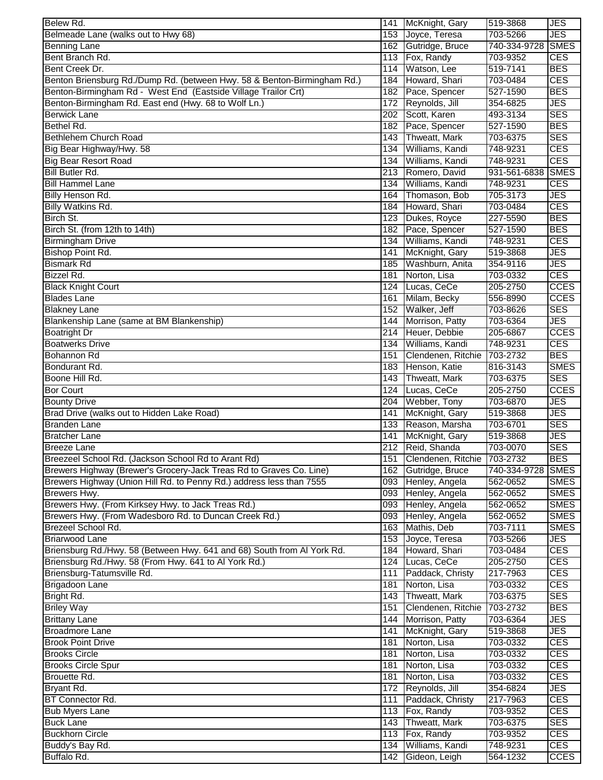| Belew Rd.                                                                | 141 | McKnight, Gary                  | 519-3868          | <b>JES</b>  |
|--------------------------------------------------------------------------|-----|---------------------------------|-------------------|-------------|
| Belmeade Lane (walks out to Hwy 68)                                      | 153 | Joyce, Teresa                   | 703-5266          | <b>JES</b>  |
| <b>Benning Lane</b>                                                      |     | 162 Gutridge, Bruce             | 740-334-9728      | <b>SMES</b> |
| Bent Branch Rd.                                                          |     | 113 Fox, Randy                  | 703-9352          | <b>CES</b>  |
| Bent Creek Dr.                                                           |     | 114 Watson, Lee                 | 519-7141          | <b>BES</b>  |
| Benton Briensburg Rd./Dump Rd. (between Hwy. 58 & Benton-Birmingham Rd.) | 184 | Howard, Shari                   | 703-0484          | <b>CES</b>  |
| Benton-Birmingham Rd - West End (Eastside Village Trailor Crt)           | 182 | Pace, Spencer                   | 527-1590          | <b>BES</b>  |
| Benton-Birmingham Rd. East end (Hwy. 68 to Wolf Ln.)                     | 172 | Reynolds, Jill                  | 354-6825          | <b>JES</b>  |
| <b>Berwick Lane</b>                                                      | 202 | Scott, Karen                    | 493-3134          | <b>SES</b>  |
| Bethel Rd.                                                               | 182 | Pace, Spencer                   | 527-1590          | <b>BES</b>  |
| Bethlehem Church Road                                                    | 143 | Thweatt, Mark                   | 703-6375          | <b>SES</b>  |
|                                                                          |     |                                 |                   |             |
| Big Bear Highway/Hwy. 58                                                 | 134 | Williams, Kandi                 | 748-9231          | <b>CES</b>  |
| <b>Big Bear Resort Road</b>                                              | 134 | Williams, Kandi                 | 748-9231          | <b>CES</b>  |
| <b>Bill Butler Rd.</b>                                                   | 213 | Romero, David                   | 931-561-6838      | <b>SMES</b> |
| <b>Bill Hammel Lane</b>                                                  | 134 | Williams, Kandi                 | 748-9231          | <b>CES</b>  |
| Billy Henson Rd.                                                         | 164 | Thomason, Bob                   | 705-3173          | <b>JES</b>  |
| Billy Watkins Rd.                                                        | 184 | Howard, Shari                   | 703-0484          | <b>CES</b>  |
| Birch St.                                                                |     | 123 Dukes, Royce                | 227-5590          | <b>BES</b>  |
| Birch St. (from 12th to 14th)                                            |     | 182 Pace, Spencer               | 527-1590          | <b>BES</b>  |
| <b>Birmingham Drive</b>                                                  | 134 | Williams, Kandi                 | 748-9231          | <b>CES</b>  |
| Bishop Point Rd.                                                         | 141 | McKnight, Gary                  | 519-3868          | <b>JES</b>  |
| <b>Bismark Rd</b>                                                        | 185 | Washburn, Anita                 | 354-9116          | <b>JES</b>  |
| Bizzel Rd.                                                               | 181 | Norton, Lisa                    | 703-0332          | <b>CES</b>  |
| <b>Black Knight Court</b>                                                |     | 124 Lucas, CeCe                 | 205-2750          | <b>CCES</b> |
| <b>Blades Lane</b>                                                       | 161 | Milam, Becky                    | 556-8990          | <b>CCES</b> |
| <b>Blakney Lane</b>                                                      | 152 | Walker, Jeff                    | 703-8626          | <b>SES</b>  |
| Blankenship Lane (same at BM Blankenship)                                | 144 | Morrison, Patty                 | 703-6364          | <b>JES</b>  |
| <b>Boatright Dr</b>                                                      | 214 | Heuer, Debbie                   | 205-6867          | <b>CCES</b> |
| <b>Boatwerks Drive</b>                                                   | 134 | Williams, Kandi                 | 748-9231          | <b>CES</b>  |
| Bohannon Rd                                                              | 151 | Clendenen, Ritchie              | 703-2732          | <b>BES</b>  |
| Bondurant Rd.                                                            | 183 | Henson, Katie                   | 816-3143          | <b>SMES</b> |
| Boone Hill Rd.                                                           | 143 | Thweatt, Mark                   | 703-6375          | <b>SES</b>  |
| <b>Bor Court</b>                                                         | 124 | Lucas, CeCe                     | 205-2750          | <b>CCES</b> |
| <b>Bounty Drive</b>                                                      | 204 | Webber, Tony                    | 703-6870          | <b>JES</b>  |
|                                                                          | 141 |                                 | 519-3868          | <b>JES</b>  |
| Brad Drive (walks out to Hidden Lake Road)                               |     | McKnight, Gary                  |                   | <b>SES</b>  |
| <b>Branden Lane</b>                                                      | 133 | Reason, Marsha                  | 703-6701          |             |
| <b>Bratcher Lane</b>                                                     | 141 | McKnight, Gary                  | 519-3868          | <b>JES</b>  |
| <b>Breeze Lane</b>                                                       |     | 212 Reid, Shanda                | 703-0070          | <b>SES</b>  |
| Breezeel School Rd. (Jackson School Rd to Arant Rd)                      |     | 151 Clendenen, Ritchie 703-2732 |                   | <b>BES</b>  |
| Brewers Highway (Brewer's Grocery-Jack Treas Rd to Graves Co. Line)      |     | 162 Gutridge, Bruce             | 740-334-9728 SMES |             |
| Brewers Highway (Union Hill Rd. to Penny Rd.) address less than 7555     |     | 093 Henley, Angela              | 562-0652          | <b>SMES</b> |
| Brewers Hwy.                                                             |     | 093 Henley, Angela              | 562-0652          | <b>SMES</b> |
| Brewers Hwy. (From Kirksey Hwy. to Jack Treas Rd.)                       |     | 093 Henley, Angela              | 562-0652          | <b>SMES</b> |
| Brewers Hwy. (From Wadesboro Rd. to Duncan Creek Rd.)                    |     | 093 Henley, Angela              | 562-0652          | <b>SMES</b> |
| Brezeel School Rd.                                                       |     | 163 Mathis, Deb                 | 703-7111          | <b>SMES</b> |
| <b>Briarwood Lane</b>                                                    |     | 153 Joyce, Teresa               | 703-5266          | <b>JES</b>  |
| Briensburg Rd./Hwy. 58 (Between Hwy. 641 and 68) South from Al York Rd.  |     | 184 Howard, Shari               | 703-0484          | <b>CES</b>  |
| Briensburg Rd./Hwy. 58 (From Hwy. 641 to Al York Rd.)                    |     | 124 Lucas, CeCe                 | 205-2750          | <b>CES</b>  |
| Briensburg-Tatumsville Rd.                                               | 111 | Paddack, Christy                | 217-7963          | <b>CES</b>  |
| <b>Brigadoon Lane</b>                                                    | 181 | Norton, Lisa                    | 703-0332          | <b>CES</b>  |
| Bright Rd.                                                               |     | 143 Thweatt, Mark               | 703-6375          | <b>SES</b>  |
| <b>Briley Way</b>                                                        | 151 | Clendenen, Ritchie              | 703-2732          | <b>BES</b>  |
| <b>Brittany Lane</b>                                                     |     | 144 Morrison, Patty             | 703-6364          | <b>JES</b>  |
| <b>Broadmore Lane</b>                                                    |     | 141 McKnight, Gary              | 519-3868          | <b>JES</b>  |
| <b>Brook Point Drive</b>                                                 |     | 181 Norton, Lisa                | 703-0332          | <b>CES</b>  |
| <b>Brooks Circle</b>                                                     | 181 | Norton, Lisa                    | 703-0332          | <b>CES</b>  |
| <b>Brooks Circle Spur</b>                                                | 181 | Norton, Lisa                    | 703-0332          | <b>CES</b>  |
| Brouette Rd.                                                             |     | 181 Norton, Lisa                | 703-0332          | <b>CES</b>  |
| Bryant Rd.                                                               |     | 172 Reynolds, Jill              | 354-6824          | <b>JES</b>  |
| BT Connector Rd.                                                         |     | 111 Paddack, Christy            | 217-7963          | <b>CES</b>  |
| <b>Bub Myers Lane</b>                                                    |     | 113 Fox, Randy                  | 703-9352          | <b>CES</b>  |
| <b>Buck Lane</b>                                                         |     | 143 Thweatt, Mark               | 703-6375          | <b>SES</b>  |
| <b>Buckhorn Circle</b>                                                   |     | 113 Fox, Randy                  | 703-9352          | <b>CES</b>  |
| Buddy's Bay Rd.                                                          | 134 | Williams, Kandi                 | 748-9231          | <b>CES</b>  |
| Buffalo Rd.                                                              | 142 | Gideon, Leigh                   | 564-1232          | <b>CCES</b> |
|                                                                          |     |                                 |                   |             |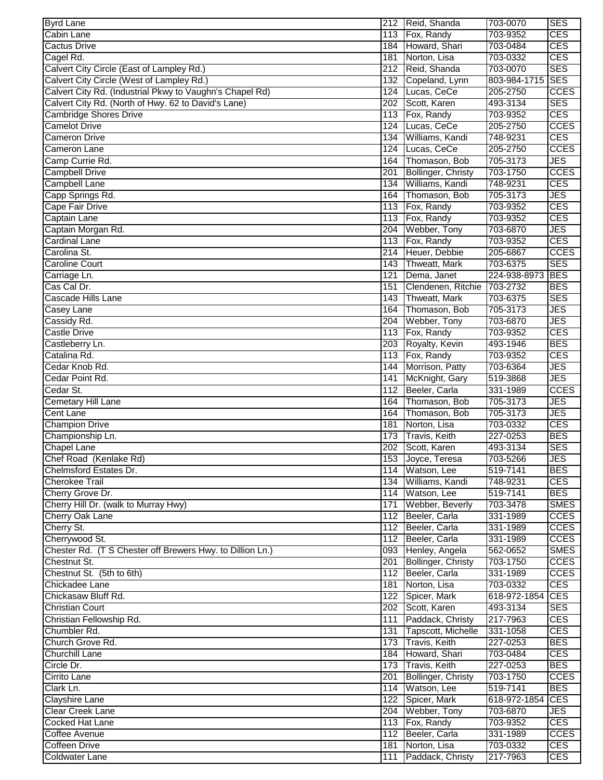| <b>Byrd Lane</b>                                          |                  | 212 Reid, Shanda          | 703-0070         | <b>SES</b>  |
|-----------------------------------------------------------|------------------|---------------------------|------------------|-------------|
| Cabin Lane                                                |                  | 113 Fox, Randy            | 703-9352         | <b>CES</b>  |
| <b>Cactus Drive</b>                                       | 184              | Howard, Shari             | 703-0484         | <b>CES</b>  |
| Cagel Rd.                                                 | 181              | Norton, Lisa              | 703-0332         | <b>CES</b>  |
| Calvert City Circle (East of Lampley Rd.)                 |                  | 212 Reid, Shanda          | 703-0070         | <b>SES</b>  |
| Calvert City Circle (West of Lampley Rd.)                 | 132              | Copeland, Lynn            | 803-984-1715 SES |             |
| Calvert City Rd. (Industrial Pkwy to Vaughn's Chapel Rd)  |                  | 124 Lucas, CeCe           | 205-2750         | <b>CCES</b> |
| Calvert City Rd. (North of Hwy. 62 to David's Lane)       |                  | 202 Scott, Karen          | 493-3134         | <b>SES</b>  |
| <b>Cambridge Shores Drive</b>                             |                  | 113 Fox, Randy            | 703-9352         | <b>CES</b>  |
| <b>Camelot Drive</b>                                      | 124              | Lucas, CeCe               | 205-2750         | <b>CCES</b> |
| <b>Cameron Drive</b>                                      | 134              | Williams, Kandi           | 748-9231         | <b>CES</b>  |
| Cameron Lane                                              | 124              | Lucas, CeCe               | 205-2750         | <b>CCES</b> |
| Camp Currie Rd.                                           | 164              | Thomason, Bob             | 705-3173         | <b>JES</b>  |
| <b>Campbell Drive</b>                                     | 201              | <b>Bollinger, Christy</b> | 703-1750         | <b>CCES</b> |
| <b>Campbell Lane</b>                                      | 134              | Williams, Kandi           | 748-9231         | <b>CES</b>  |
| Capp Springs Rd.                                          | 164              | Thomason, Bob             | 705-3173         | <b>JES</b>  |
| <b>Cape Fair Drive</b>                                    |                  | 113 Fox, Randy            | 703-9352         | <b>CES</b>  |
| Captain Lane                                              | 113              | Fox, Randy                | 703-9352         | <b>CES</b>  |
| Captain Morgan Rd.                                        | 204              | Webber, Tony              | 703-6870         | <b>JES</b>  |
| <b>Cardinal Lane</b>                                      | 113              | Fox, Randy                | 703-9352         | <b>CES</b>  |
| Carolina St.                                              | 214              | Heuer, Debbie             | 205-6867         | <b>CCES</b> |
| <b>Caroline Court</b>                                     | 143              | Thweatt, Mark             | 703-6375         | <b>SES</b>  |
|                                                           | $\overline{121}$ | Dema, Janet               | 224-938-8973     | <b>BES</b>  |
| Carriage Ln.                                              | 151              |                           | 703-2732         | <b>BES</b>  |
| Cas Cal Dr.<br>Cascade Hills Lane                         |                  | Clendenen, Ritchie        |                  |             |
|                                                           | 143              | Thweatt, Mark             | 703-6375         | <b>SES</b>  |
| Casey Lane                                                | 164              | Thomason, Bob             | 705-3173         | <b>JES</b>  |
| Cassidy Rd.                                               | 204              | Webber, Tony              | 703-6870         | <b>JES</b>  |
| <b>Castle Drive</b>                                       | 113              | Fox, Randy                | 703-9352         | <b>CES</b>  |
| Castleberry Ln.                                           | 203              | Royalty, Kevin            | 493-1946         | <b>BES</b>  |
| Catalina Rd.                                              | 113              | Fox, Randy                | 703-9352         | <b>CES</b>  |
| Cedar Knob Rd.                                            | 144              | Morrison, Patty           | 703-6364         | <b>JES</b>  |
| Cedar Point Rd.                                           | 141              | McKnight, Gary            | 519-3868         | <b>JES</b>  |
| Cedar St.                                                 |                  | 112 Beeler, Carla         | 331-1989         | <b>CCES</b> |
| Cemetary Hill Lane                                        | 164              | Thomason, Bob             | 705-3173         | <b>JES</b>  |
| Cent Lane                                                 | 164              | Thomason, Bob             | 705-3173         | <b>JES</b>  |
| <b>Champion Drive</b>                                     | 181              | Norton, Lisa              | 703-0332         | <b>CES</b>  |
| Championship Ln.                                          | 173              | Travis, Keith             | 227-0253         | <b>BES</b>  |
| <b>Chapel Lane</b>                                        |                  | 202 Scott, Karen          | 493-3134         | <b>SES</b>  |
| Chef Road (Kenlake Rd)                                    |                  | 153 Joyce, Teresa         | 703-5266         | <b>JES</b>  |
| Chelmsford Estates Dr.                                    |                  | 114 Watson, Lee           | 519-7141         | <b>BES</b>  |
| <b>Cherokee Trail</b>                                     |                  | 134 Williams, Kandi       | 748-9231         | <b>CES</b>  |
| Cherry Grove Dr.                                          |                  | 114 Watson, Lee           | 519-7141         | <b>BES</b>  |
| Cherry Hill Dr. (walk to Murray Hwy)                      |                  | 171 Webber, Beverly       | 703-3478         | <b>SMES</b> |
| Cherry Oak Lane                                           |                  | 112 Beeler, Carla         | 331-1989         | <b>CCES</b> |
| Cherry St.                                                |                  | 112 Beeler, Carla         | 331-1989         | <b>CCES</b> |
| Cherrywood St.                                            |                  | 112 Beeler, Carla         | 331-1989         | <b>CCES</b> |
| Chester Rd. (T S Chester off Brewers Hwy. to Dillion Ln.) |                  | 093 Henley, Angela        | 562-0652         | <b>SMES</b> |
| Chestnut St.                                              |                  | 201 Bollinger, Christy    | 703-1750         | <b>CCES</b> |
| Chestnut St. (5th to 6th)                                 |                  | 112 Beeler, Carla         | 331-1989         | <b>CCES</b> |
| Chickadee Lane                                            |                  | 181 Norton, Lisa          | 703-0332         | <b>CES</b>  |
| Chickasaw Bluff Rd.                                       |                  | 122 Spicer, Mark          | 618-972-1854 CES |             |
| <b>Christian Court</b>                                    |                  | 202 Scott, Karen          | 493-3134         | <b>SES</b>  |
| Christian Fellowship Rd.                                  |                  | 111 Paddack, Christy      | 217-7963         | <b>CES</b>  |
| Chumbler Rd.                                              |                  | 131 Tapscott, Michelle    | 331-1058         | <b>CES</b>  |
| Church Grove Rd.                                          |                  | 173 Travis, Keith         | 227-0253         | <b>BES</b>  |
| <b>Churchill Lane</b>                                     |                  | 184 Howard, Shari         | 703-0484         | <b>CES</b>  |
| Circle Dr.                                                |                  | 173 Travis, Keith         | 227-0253         | <b>BES</b>  |
| Cirrito Lane                                              |                  |                           | 703-1750         | <b>CCES</b> |
|                                                           |                  | 201 Bollinger, Christy    |                  |             |
| Clark Ln.                                                 |                  | 114 Watson, Lee           | 519-7141         | <b>BES</b>  |
| <b>Clayshire Lane</b>                                     |                  | 122 Spicer, Mark          | 618-972-1854     | <b>CES</b>  |
| Clear Creek Lane                                          |                  | 204 Webber, Tony          | 703-6870         | <b>JES</b>  |
| Cocked Hat Lane                                           |                  | 113 Fox, Randy            | 703-9352         | <b>CES</b>  |
| Coffee Avenue                                             |                  | 112 Beeler, Carla         | 331-1989         | <b>CCES</b> |
| <b>Coffeen Drive</b>                                      |                  | 181 Norton, Lisa          | 703-0332         | <b>CES</b>  |
| <b>Coldwater Lane</b>                                     | 111              | Paddack, Christy          | 217-7963         | <b>CES</b>  |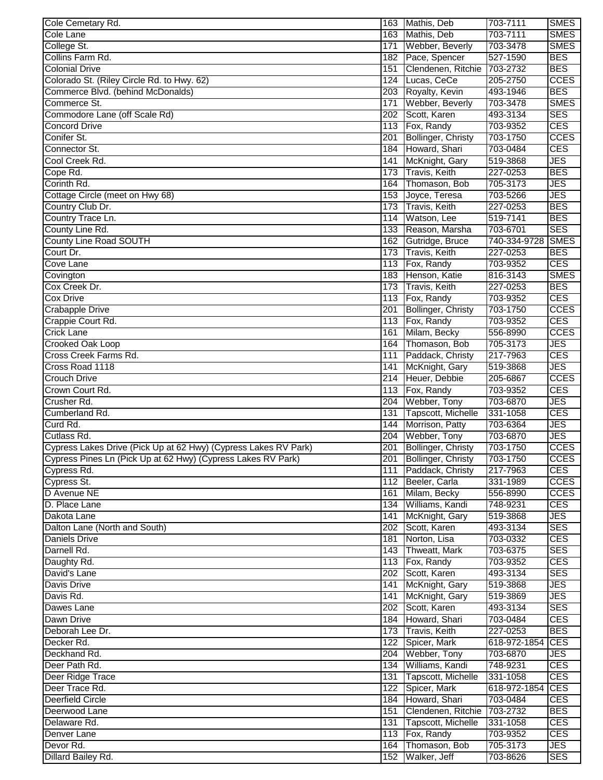| Cole Cemetary Rd.                                               |     | 163 Mathis, Deb           | 703-7111             | SMES        |
|-----------------------------------------------------------------|-----|---------------------------|----------------------|-------------|
| Cole Lane                                                       |     | 163 Mathis, Deb           | 703-7111             | <b>SMES</b> |
| College St.                                                     | 171 | Webber, Beverly           | 703-3478             | <b>SMES</b> |
| Collins Farm Rd.                                                |     | 182 Pace, Spencer         | 527-1590             | <b>BES</b>  |
| <b>Colonial Drive</b>                                           | 151 | Clendenen, Ritchie        | 703-2732             | <b>BES</b>  |
| Colorado St. (Riley Circle Rd. to Hwy. 62)                      |     | 124 Lucas, CeCe           | 205-2750             | <b>CCES</b> |
| Commerce Blvd. (behind McDonalds)                               |     | 203 Royalty, Kevin        | 493-1946             | <b>BES</b>  |
| Commerce St.                                                    | 171 | Webber, Beverly           | 703-3478             | <b>SMES</b> |
| Commodore Lane (off Scale Rd)                                   |     | 202 Scott, Karen          | 493-3134             | <b>SES</b>  |
| <b>Concord Drive</b>                                            |     | 113 Fox, Randy            | 703-9352             | <b>CES</b>  |
| Conifer St.                                                     | 201 | <b>Bollinger, Christy</b> | 703-1750             | <b>CCES</b> |
| Connector St.                                                   | 184 | Howard, Shari             | 703-0484             | <b>CES</b>  |
| Cool Creek Rd.                                                  | 141 | McKnight, Gary            | 519-3868             | <b>JES</b>  |
| Cope Rd.                                                        | 173 | <b>Travis, Keith</b>      | 227-0253             | <b>BES</b>  |
| Corinth Rd.                                                     | 164 | Thomason, Bob             | 705-3173             | <b>JES</b>  |
| Cottage Circle (meet on Hwy 68)                                 | 153 | Joyce, Teresa             | 703-5266             | <b>JES</b>  |
| Country Club Dr.                                                |     | 173 Travis, Keith         | 227-0253             | <b>BES</b>  |
| Country Trace Ln.                                               | 114 | Watson, Lee               | 519-7141             | <b>BES</b>  |
| County Line Rd.                                                 | 133 | Reason, Marsha            | 703-6701             | <b>SES</b>  |
| <b>County Line Road SOUTH</b>                                   |     | 162 Gutridge, Bruce       | 740-334-9728         | <b>SMES</b> |
| Court Dr.                                                       |     | 173 Travis, Keith         | 227-0253             | <b>BES</b>  |
| Cove Lane                                                       |     | 113 Fox, Randy            | 703-9352             | <b>CES</b>  |
| Covington                                                       |     | 183 Henson, Katie         | 816-3143             | <b>SMES</b> |
| Cox Creek Dr.                                                   | 173 | Travis, Keith             | 227-0253             | <b>BES</b>  |
| <b>Cox Drive</b>                                                |     | 113 Fox, Randy            |                      | <b>CES</b>  |
|                                                                 |     |                           | 703-9352<br>703-1750 | <b>CCES</b> |
| <b>Crabapple Drive</b>                                          | 201 | Bollinger, Christy        |                      |             |
| Crappie Court Rd.                                               |     | 113 Fox, Randy            | 703-9352             | <b>CES</b>  |
| <b>Crick Lane</b>                                               | 161 | Milam, Becky              | 556-8990             | <b>CCES</b> |
| <b>Crooked Oak Loop</b>                                         | 164 | Thomason, Bob             | 705-3173             | <b>JES</b>  |
| Cross Creek Farms Rd.                                           | 111 | Paddack, Christy          | 217-7963             | <b>CES</b>  |
| Cross Road 1118                                                 | 141 | McKnight, Gary            | 519-3868             | <b>JES</b>  |
| Crouch Drive                                                    | 214 | Heuer, Debbie             | 205-6867             | <b>CCES</b> |
| Crown Court Rd.                                                 | 113 | Fox, Randy                | 703-9352             | <b>CES</b>  |
| Crusher Rd.                                                     | 204 | Webber, Tony              | 703-6870             | <b>JES</b>  |
| Cumberland Rd.                                                  | 131 | Tapscott, Michelle        | 331-1058             | <b>CES</b>  |
| Curd Rd.                                                        | 144 | Morrison, Patty           | 703-6364             | <b>JES</b>  |
| Cutlass Rd.                                                     | 204 | Webber, Tony              | 703-6870             | <b>JES</b>  |
| Cypress Lakes Drive (Pick Up at 62 Hwy) (Cypress Lakes RV Park) | 201 | Bollinger, Christy        | 703-1750             | <b>CCES</b> |
| Cypress Pines Ln (Pick Up at 62 Hwy) (Cypress Lakes RV Park)    |     | 201 Bollinger, Christy    | 703-1750             | <b>CCES</b> |
| Cypress Rd.                                                     |     | 111 Paddack, Christy      | 217-7963             | <b>CES</b>  |
| Cypress St.                                                     |     | 112 Beeler, Carla         | 331-1989             | <b>CCES</b> |
| D Avenue NE                                                     |     | 161 Milam, Becky          | 556-8990             | <b>CCES</b> |
| D. Place Lane                                                   |     | 134 Williams, Kandi       | 748-9231             | <b>CES</b>  |
| Dakota Lane                                                     |     | 141 McKnight, Gary        | 519-3868             | <b>JES</b>  |
| Dalton Lane (North and South)                                   |     | 202 Scott, Karen          | 493-3134             | <b>SES</b>  |
| <b>Daniels Drive</b>                                            |     | 181 Norton, Lisa          | 703-0332             | <b>CES</b>  |
| Darnell Rd.                                                     |     | 143 Thweatt, Mark         | 703-6375             | <b>SES</b>  |
| Daughty Rd.                                                     |     | 113 Fox, Randy            | 703-9352             | <b>CES</b>  |
| David's Lane                                                    |     | 202 Scott, Karen          | 493-3134             | <b>SES</b>  |
| Davis Drive                                                     |     | 141 McKnight, Gary        | 519-3868             | <b>JES</b>  |
| Davis Rd.                                                       |     | 141 McKnight, Gary        | 519-3869             | <b>JES</b>  |
| Dawes Lane                                                      |     | 202 Scott, Karen          | 493-3134             | <b>SES</b>  |
| Dawn Drive                                                      |     | 184 Howard, Shari         | 703-0484             | <b>CES</b>  |
| Deborah Lee Dr.                                                 |     | 173 Travis, Keith         | 227-0253             | <b>BES</b>  |
| Decker Rd.                                                      |     | 122 Spicer, Mark          | 618-972-1854 CES     |             |
| Deckhand Rd.                                                    |     | 204 Webber, Tony          | 703-6870             | <b>JES</b>  |
| Deer Path Rd.                                                   |     | 134 Williams, Kandi       | 748-9231             | <b>CES</b>  |
| Deer Ridge Trace                                                |     | 131 Tapscott, Michelle    | 331-1058             | <b>CES</b>  |
| Deer Trace Rd.                                                  |     | 122 Spicer, Mark          | 618-972-1854 CES     |             |
| <b>Deerfield Circle</b>                                         |     | 184 Howard, Shari         | 703-0484             | <b>CES</b>  |
| Deerwood Lane                                                   |     | 151 Clendenen, Ritchie    | 703-2732             | <b>BES</b>  |
| Delaware Rd.                                                    |     | 131 Tapscott, Michelle    | 331-1058             | <b>CES</b>  |
| <b>Denver Lane</b>                                              |     | 113 Fox, Randy            | 703-9352             | <b>CES</b>  |
| Devor Rd.                                                       |     | 164 Thomason, Bob         | 705-3173             | <b>JES</b>  |
| Dillard Bailey Rd.                                              | 152 | Walker, Jeff              | 703-8626             | <b>SES</b>  |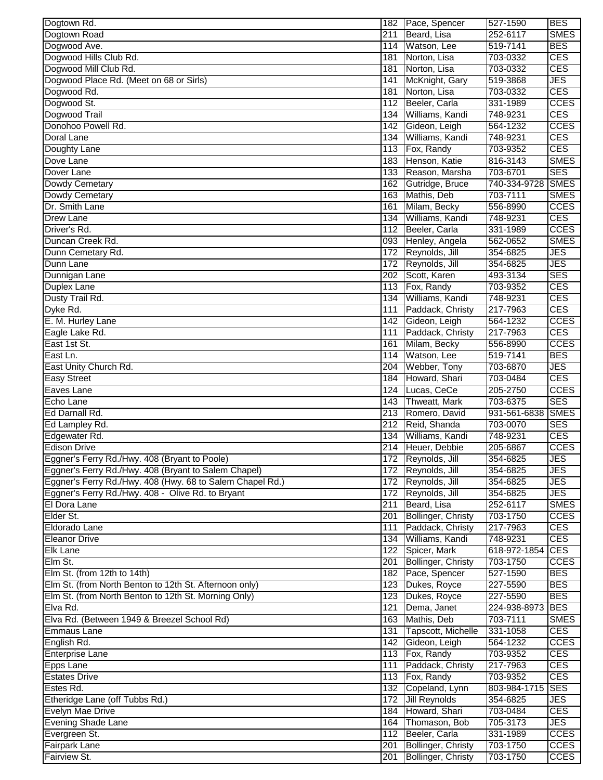| Dogtown Rd.                                               |     | 182 Pace, Spencer         | 527-1590         | <b>BES</b>  |
|-----------------------------------------------------------|-----|---------------------------|------------------|-------------|
| Dogtown Road                                              | 211 | Beard, Lisa               | 252-6117         | <b>SMES</b> |
| Dogwood Ave.                                              | 114 | Watson, Lee               | 519-7141         | <b>BES</b>  |
| Dogwood Hills Club Rd.                                    | 181 | Norton, Lisa              | 703-0332         | <b>CES</b>  |
| Dogwood Mill Club Rd.                                     | 181 | Norton, Lisa              | 703-0332         | <b>CES</b>  |
| Dogwood Place Rd. (Meet on 68 or Sirls)                   | 141 | McKnight, Gary            | 519-3868         | <b>JES</b>  |
| Dogwood Rd.                                               | 181 | Norton, Lisa              | 703-0332         | <b>CES</b>  |
| Dogwood St.                                               | 112 | Beeler, Carla             | 331-1989         | <b>CCES</b> |
| Dogwood Trail                                             | 134 | Williams, Kandi           | 748-9231         | <b>CES</b>  |
| Donohoo Powell Rd.                                        | 142 | Gideon, Leigh             | 564-1232         | <b>CCES</b> |
| Doral Lane                                                | 134 | Williams, Kandi           | 748-9231         | <b>CES</b>  |
| Doughty Lane                                              | 113 | Fox, Randy                | 703-9352         | <b>CES</b>  |
| Dove Lane                                                 | 183 | Henson, Katie             | 816-3143         | <b>SMES</b> |
| Dover Lane                                                | 133 | Reason, Marsha            | 703-6701         | <b>SES</b>  |
| Dowdy Cemetary                                            | 162 | Gutridge, Bruce           | 740-334-9728     | <b>SMES</b> |
| Dowdy Cemetary                                            | 163 | Mathis, Deb               | 703-7111         | <b>SMES</b> |
| Dr. Smith Lane                                            | 161 | Milam, Becky              | 556-8990         | <b>CCES</b> |
| <b>Drew Lane</b>                                          | 134 | Williams, Kandi           | 748-9231         | <b>CES</b>  |
| Driver's Rd.                                              | 112 | Beeler, Carla             | 331-1989         | <b>CCES</b> |
| Duncan Creek Rd.                                          | 093 | Henley, Angela            | 562-0652         | <b>SMES</b> |
| Dunn Cemetary Rd.                                         | 172 | Reynolds, Jill            | 354-6825         | <b>JES</b>  |
| Dunn Lane                                                 |     | 172 Reynolds, Jill        | 354-6825         | <b>JES</b>  |
| Dunnigan Lane                                             |     | 202 Scott, Karen          | 493-3134         | <b>SES</b>  |
| <b>Duplex Lane</b>                                        |     | 113 Fox, Randy            | 703-9352         | <b>CES</b>  |
| Dusty Trail Rd.                                           | 134 | Williams, Kandi           | 748-9231         | <b>CES</b>  |
| Dyke Rd.                                                  | 111 | Paddack, Christy          | 217-7963         | <b>CES</b>  |
| E. M. Hurley Lane                                         | 142 | Gideon, Leigh             | 564-1232         | <b>CCES</b> |
| Eagle Lake Rd.                                            | 111 | Paddack, Christy          | 217-7963         | <b>CES</b>  |
| East 1st St.                                              | 161 | Milam, Becky              | 556-8990         | <b>CCES</b> |
| East Ln.                                                  | 114 | Watson, Lee               | 519-7141         | <b>BES</b>  |
| East Unity Church Rd.                                     | 204 | Webber, Tony              | 703-6870         | <b>JES</b>  |
| <b>Easy Street</b>                                        | 184 | Howard, Shari             | 703-0484         | <b>CES</b>  |
| Eaves Lane                                                | 124 | Lucas, CeCe               | 205-2750         | <b>CCES</b> |
| Echo Lane                                                 | 143 | Thweatt, Mark             | 703-6375         | <b>SES</b>  |
| Ed Darnall Rd.                                            | 213 | Romero, David             | 931-561-6838     | <b>SMES</b> |
| Ed Lampley Rd.                                            |     | 212 Reid, Shanda          | 703-0070         | <b>SES</b>  |
| Edgewater Rd.                                             | 134 | Williams, Kandi           | 748-9231         | <b>CES</b>  |
| <b>Edison Drive</b>                                       |     | 214 Heuer, Debbie         | 205-6867         | <b>CCES</b> |
| Eggner's Ferry Rd./Hwy. 408 (Bryant to Poole)             |     | 172 Reynolds, Jill        | 354-6825         | <b>JES</b>  |
| Eggner's Ferry Rd./Hwy. 408 (Bryant to Salem Chapel)      |     | 172 Reynolds, Jill        | 354-6825         | <b>JES</b>  |
| Eggner's Ferry Rd./Hwy. 408 (Hwy. 68 to Salem Chapel Rd.) |     | 172 Reynolds, Jill        | 354-6825         | <b>JES</b>  |
| Eggner's Ferry Rd./Hwy. 408 - Olive Rd. to Bryant         |     | 172 Reynolds, Jill        | 354-6825         | <b>JES</b>  |
| El Dora Lane                                              |     | 211 Beard, Lisa           | 252-6117         | <b>SMES</b> |
| Elder St.                                                 |     | 201 Bollinger, Christy    | 703-1750         | <b>CCES</b> |
| Eldorado Lane                                             | 111 | Paddack, Christy          | 217-7963         | <b>CES</b>  |
| <b>Eleanor Drive</b>                                      | 134 | Williams, Kandi           | 748-9231         | <b>CES</b>  |
| <b>Elk Lane</b>                                           | 122 | Spicer, Mark              | 618-972-1854     | <b>CES</b>  |
| Elm St.                                                   | 201 | Bollinger, Christy        | 703-1750         | <b>CCES</b> |
| Elm St. (from 12th to 14th)                               | 182 | Pace, Spencer             | 527-1590         | <b>BES</b>  |
| Elm St. (from North Benton to 12th St. Afternoon only)    | 123 | Dukes, Royce              | 227-5590         | <b>BES</b>  |
| Elm St. (from North Benton to 12th St. Morning Only)      |     | 123 Dukes, Royce          | 227-5590         | <b>BES</b>  |
| Elva Rd.                                                  | 121 | Dema, Janet               | 224-938-8973 BES |             |
| Elva Rd. (Between 1949 & Breezel School Rd)               |     | 163 Mathis, Deb           | 703-7111         | <b>SMES</b> |
| <b>Emmaus Lane</b>                                        | 131 | Tapscott, Michelle        | 331-1058         | <b>CES</b>  |
| English Rd.                                               | 142 | Gideon, Leigh             | 564-1232         | <b>CCES</b> |
| <b>Enterprise Lane</b>                                    |     | 113 Fox, Randy            | 703-9352         | <b>CES</b>  |
| Epps Lane                                                 | 111 | Paddack, Christy          | 217-7963         | <b>CES</b>  |
| <b>Estates Drive</b>                                      |     | 113 Fox, Randy            | 703-9352         | <b>CES</b>  |
| Estes Rd.                                                 | 132 | Copeland, Lynn            | 803-984-1715 SES |             |
| Etheridge Lane (off Tubbs Rd.)                            |     | 172 Jill Reynolds         | 354-6825         | JES         |
| <b>Evelyn Mae Drive</b>                                   |     | 184 Howard, Shari         | 703-0484         | <b>CES</b>  |
| <b>Evening Shade Lane</b>                                 |     | 164 Thomason, Bob         | 705-3173         | <b>JES</b>  |
| Evergreen St.                                             |     | 112 Beeler, Carla         | 331-1989         | <b>CCES</b> |
| <b>Fairpark Lane</b>                                      | 201 | <b>Bollinger, Christy</b> | 703-1750         | <b>CCES</b> |
| Fairview St.                                              | 201 | Bollinger, Christy        | 703-1750         | <b>CCES</b> |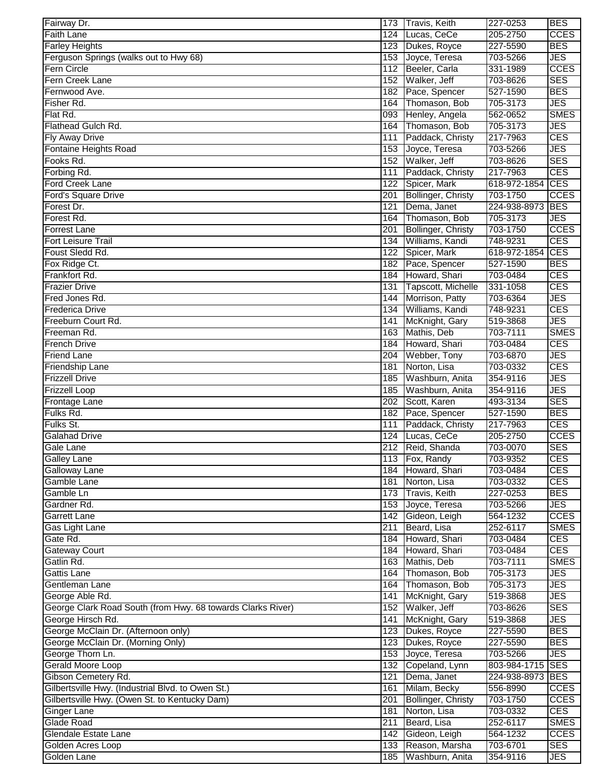| Fairway Dr.                                                                    |     | 173 Travis, Keith                  | 227-0253             | <b>BES</b>               |
|--------------------------------------------------------------------------------|-----|------------------------------------|----------------------|--------------------------|
| <b>Faith Lane</b>                                                              |     | 124 Lucas, CeCe                    | 205-2750             | <b>CCES</b>              |
| <b>Farley Heights</b>                                                          |     | 123 Dukes, Royce                   | 227-5590             | <b>BES</b>               |
| Ferguson Springs (walks out to Hwy 68)                                         |     | 153 Joyce, Teresa                  | 703-5266             | <b>JES</b>               |
| <b>Fern Circle</b>                                                             |     | 112 Beeler, Carla                  | 331-1989             | <b>CCES</b>              |
| Fern Creek Lane                                                                |     | 152 Walker, Jeff                   | 703-8626             | <b>SES</b>               |
| Fernwood Ave.                                                                  |     | 182 Pace, Spencer                  | 527-1590             | <b>BES</b>               |
| Fisher Rd.                                                                     | 164 | Thomason, Bob                      | 705-3173             | <b>JES</b>               |
| Flat Rd.                                                                       |     | 093 Henley, Angela                 | 562-0652             | <b>SMES</b>              |
| Flathead Gulch Rd.                                                             | 164 | Thomason, Bob                      | 705-3173             | <b>JES</b>               |
| <b>Fly Away Drive</b>                                                          | 111 | Paddack, Christy                   | 217-7963             | <b>CES</b>               |
| Fontaine Heights Road                                                          | 153 | Joyce, Teresa                      | 703-5266             | <b>JES</b>               |
| Fooks Rd.                                                                      | 152 | Walker, Jeff                       | 703-8626             | <b>SES</b>               |
| Forbing Rd.                                                                    | 111 | Paddack, Christy                   | 217-7963             | <b>CES</b>               |
| <b>Ford Creek Lane</b>                                                         | 122 | Spicer, Mark                       | 618-972-1854 CES     |                          |
| Ford's Square Drive                                                            | 201 | <b>Bollinger, Christy</b>          | 703-1750             | <b>CCES</b>              |
| Forest Dr.                                                                     | 121 | Dema, Janet                        | 224-938-8973 BES     |                          |
| Forest Rd.                                                                     | 164 | Thomason, Bob                      | 705-3173             | <b>JES</b>               |
| <b>Forrest Lane</b>                                                            | 201 | Bollinger, Christy                 | 703-1750             | <b>CCES</b>              |
| <b>Fort Leisure Trail</b>                                                      | 134 | Williams, Kandi                    | 748-9231             | <b>CES</b>               |
| Foust Sledd Rd.                                                                | 122 | Spicer, Mark                       | 618-972-1854         | <b>CES</b>               |
| Fox Ridge Ct.                                                                  |     | 182 Pace, Spencer                  | 527-1590             | <b>BES</b>               |
| Frankfort Rd.                                                                  |     | 184 Howard, Shari                  | 703-0484             | <b>CES</b>               |
| <b>Frazier Drive</b>                                                           | 131 | Tapscott, Michelle                 | 331-1058             | <b>CES</b>               |
| Fred Jones Rd.                                                                 | 144 | Morrison, Patty                    | 703-6364             | <b>JES</b>               |
| <b>Frederica Drive</b>                                                         | 134 | Williams, Kandi                    | 748-9231             | <b>CES</b>               |
| Freeburn Court Rd.                                                             | 141 | McKnight, Gary                     | 519-3868             | <b>JES</b>               |
| Freeman Rd.                                                                    | 163 | Mathis, Deb                        | 703-7111             | <b>SMES</b>              |
| <b>French Drive</b>                                                            | 184 | Howard, Shari                      | 703-0484             | <b>CES</b>               |
| <b>Friend Lane</b>                                                             | 204 | Webber, Tony                       | 703-6870             | <b>JES</b>               |
| <b>Friendship Lane</b>                                                         | 181 | Norton, Lisa                       | 703-0332             | <b>CES</b>               |
| <b>Frizzell Drive</b>                                                          | 185 | Washburn, Anita                    | 354-9116             | <b>JES</b>               |
| <b>Frizzell Loop</b>                                                           | 185 | Washburn, Anita                    | 354-9116             | <b>JES</b>               |
| Frontage Lane                                                                  | 202 | Scott, Karen                       | 493-3134             | <b>SES</b>               |
| Fulks Rd.                                                                      |     | 182 Pace, Spencer                  | 527-1590             | <b>BES</b>               |
| Fulks St.                                                                      | 111 | Paddack, Christy                   | 217-7963             | <b>CES</b>               |
| <b>Galahad Drive</b>                                                           |     | 124 Lucas, CeCe                    | 205-2750             | <b>CCES</b>              |
| Gale Lane                                                                      |     | 212 Reid, Shanda                   | 703-0070             | <b>SES</b>               |
| <b>Galley Lane</b>                                                             |     | 113 Fox, Randy                     | 703-9352             | <b>CES</b>               |
| Galloway Lane                                                                  |     | 184 Howard, Shari                  | 703-0484             | <b>CES</b>               |
| Gamble Lane                                                                    |     | 181 Norton, Lisa                   | 703-0332             | <b>CES</b>               |
| Gamble Ln                                                                      |     | 173 Travis, Keith                  | 227-0253             | <b>BES</b>               |
| Gardner Rd.                                                                    |     | 153 Joyce, Teresa                  | 703-5266             | <b>JES</b>               |
| <b>Garrett Lane</b>                                                            |     | 142 Gideon, Leigh                  | 564-1232             | <b>CCES</b>              |
| Gas Light Lane                                                                 | 211 | Beard, Lisa                        | 252-6117             | <b>SMES</b>              |
| Gate Rd.                                                                       | 184 | Howard, Shari                      | 703-0484             | <b>CES</b>               |
| <b>Gateway Court</b>                                                           | 184 | Howard, Shari                      | 703-0484             | <b>CES</b>               |
| Gatlin Rd.                                                                     | 163 | Mathis, Deb                        | 703-7111             | <b>SMES</b>              |
| Gattis Lane                                                                    | 164 | Thomason, Bob                      | 705-3173             | <b>JES</b>               |
| Gentleman Lane                                                                 |     | 164 Thomason, Bob                  | 705-3173             | <b>JES</b>               |
| George Able Rd.<br>George Clark Road South (from Hwy. 68 towards Clarks River) | 141 | McKnight, Gary<br>152 Walker, Jeff | 519-3868<br>703-8626 | <b>JES</b><br><b>SES</b> |
| George Hirsch Rd.                                                              | 141 | McKnight, Gary                     | 519-3868             | <b>JES</b>               |
| George McClain Dr. (Afternoon only)                                            |     | 123 Dukes, Royce                   | 227-5590             | <b>BES</b>               |
| George McClain Dr. (Morning Only)                                              |     | 123 Dukes, Royce                   | 227-5590             | <b>BES</b>               |
| George Thorn Ln.                                                               |     | 153 Joyce, Teresa                  | 703-5266             | <b>JES</b>               |
| Gerald Moore Loop                                                              |     | 132 Copeland, Lynn                 | 803-984-1715 SES     |                          |
| Gibson Cemetery Rd.                                                            | 121 | Dema, Janet                        | 224-938-8973 BES     |                          |
| Gilbertsville Hwy. (Industrial Blvd. to Owen St.)                              | 161 | Milam, Becky                       | 556-8990             | <b>CCES</b>              |
| Gilbertsville Hwy. (Owen St. to Kentucky Dam)                                  | 201 | Bollinger, Christy                 | 703-1750             | <b>CCES</b>              |
| <b>Ginger Lane</b>                                                             | 181 | Norton, Lisa                       | 703-0332             | <b>CES</b>               |
| Glade Road                                                                     | 211 | Beard, Lisa                        | 252-6117             | <b>SMES</b>              |
| Glendale Estate Lane                                                           |     | 142 Gideon, Leigh                  | 564-1232             | <b>CCES</b>              |
| Golden Acres Loop                                                              | 133 | Reason, Marsha                     | 703-6701             | <b>SES</b>               |
| Golden Lane                                                                    | 185 | Washburn, Anita                    | 354-9116             | <b>JES</b>               |
|                                                                                |     |                                    |                      |                          |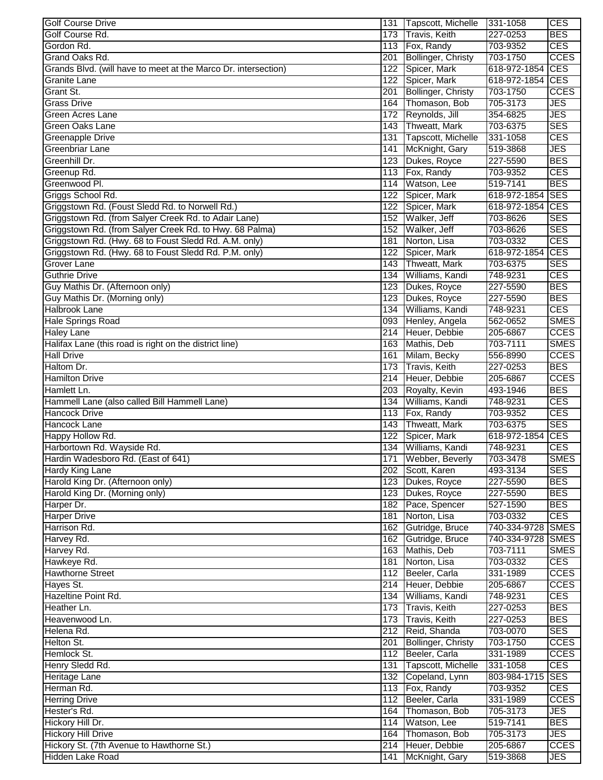| <b>Golf Course Drive</b>                                       | 131              | Tapscott, Michelle        | 331-1058         | <b>CES</b>  |
|----------------------------------------------------------------|------------------|---------------------------|------------------|-------------|
| Golf Course Rd.                                                | 173              | <b>Travis, Keith</b>      | 227-0253         | <b>BES</b>  |
| Gordon Rd.                                                     |                  | 113 Fox, Randy            | 703-9352         | <b>CES</b>  |
| Grand Oaks Rd.                                                 | 201              | Bollinger, Christy        | 703-1750         | <b>CCES</b> |
| Grands Blvd. (will have to meet at the Marco Dr. intersection) | 122              | Spicer, Mark              | 618-972-1854 CES |             |
| <b>Granite Lane</b>                                            | 122              | Spicer, Mark              | 618-972-1854     | CES         |
| Grant St.                                                      | 201              | <b>Bollinger, Christy</b> | 703-1750         | <b>CCES</b> |
| <b>Grass Drive</b>                                             | 164              | Thomason, Bob             | 705-3173         | JES         |
| Green Acres Lane                                               |                  | 172 Reynolds, Jill        | 354-6825         | <b>JES</b>  |
| Green Oaks Lane                                                |                  | 143 Thweatt, Mark         | 703-6375         | <b>SES</b>  |
| Greenapple Drive                                               | 131              | Tapscott, Michelle        | 331-1058         | <b>CES</b>  |
| <b>Greenbriar Lane</b>                                         | 141              | McKnight, Gary            | 519-3868         | JES         |
| Greenhill Dr.                                                  | 123              | Dukes, Royce              | 227-5590         | <b>BES</b>  |
| Greenup Rd.                                                    | 113              | Fox, Randy                | 703-9352         | <b>CES</b>  |
| Greenwood Pl.                                                  | 114              | Watson, Lee               | 519-7141         | <b>BES</b>  |
| Griggs School Rd.                                              | 122              | Spicer, Mark              | 618-972-1854 SES |             |
| Griggstown Rd. (Foust Sledd Rd. to Norwell Rd.)                | 122              | Spicer, Mark              | 618-972-1854     | CES         |
| Griggstown Rd. (from Salyer Creek Rd. to Adair Lane)           | 152              | Walker, Jeff              | 703-8626         | <b>SES</b>  |
| Griggstown Rd. (from Salyer Creek Rd. to Hwy. 68 Palma)        | 152              | Walker, Jeff              | 703-8626         | <b>SES</b>  |
| Griggstown Rd. (Hwy. 68 to Foust Sledd Rd. A.M. only)          | 181              | Norton, Lisa              | 703-0332         | <b>CES</b>  |
| Griggstown Rd. (Hwy. 68 to Foust Sledd Rd. P.M. only)          |                  |                           | 618-972-1854     | <b>CES</b>  |
|                                                                | 122              | Spicer, Mark              |                  |             |
| <b>Grover Lane</b>                                             |                  | 143 Thweatt, Mark         | 703-6375         | <b>SES</b>  |
| <b>Guthrie Drive</b>                                           | 134              | Williams, Kandi           | 748-9231         | <b>CES</b>  |
| Guy Mathis Dr. (Afternoon only)                                | 123              | Dukes, Royce              | 227-5590         | <b>BES</b>  |
| Guy Mathis Dr. (Morning only)                                  | 123              | Dukes, Royce              | 227-5590         | <b>BES</b>  |
| Halbrook Lane                                                  | 134              | Williams, Kandi           | 748-9231         | <b>CES</b>  |
| <b>Hale Springs Road</b>                                       |                  | 093 Henley, Angela        | 562-0652         | <b>SMES</b> |
| <b>Haley Lane</b>                                              |                  | 214 Heuer, Debbie         | 205-6867         | <b>CCES</b> |
| Halifax Lane (this road is right on the district line)         |                  | 163 Mathis, Deb           | 703-7111         | <b>SMES</b> |
| <b>Hall Drive</b>                                              | 161              | Milam, Becky              | 556-8990         | <b>CCES</b> |
| Haltom Dr.                                                     | 173              | <b>Travis, Keith</b>      | 227-0253         | <b>BES</b>  |
| <b>Hamilton Drive</b>                                          |                  | 214 Heuer, Debbie         | 205-6867         | <b>CCES</b> |
| Hamlett Ln.                                                    | 203              | Royalty, Kevin            | 493-1946         | <b>BES</b>  |
| Hammell Lane (also called Bill Hammell Lane)                   | 134              | Williams, Kandi           | 748-9231         | <b>CES</b>  |
| <b>Hancock Drive</b>                                           |                  | 113 Fox, Randy            | 703-9352         | <b>CES</b>  |
| Hancock Lane                                                   |                  | 143 Thweatt, Mark         | 703-6375         | <b>SES</b>  |
| Happy Hollow Rd.                                               | 122              | Spicer, Mark              | 618-972-1854     | <b>CES</b>  |
| Harbortown Rd. Wayside Rd.                                     |                  | 134 Williams, Kandi       | 748-9231         | <b>CES</b>  |
| Hardin Wadesboro Rd. (East of 641)                             |                  | 171 Webber, Beverly       | 703-3478         | <b>SMES</b> |
| <b>Hardy King Lane</b>                                         |                  | 202 Scott, Karen          | 493-3134         | <b>SES</b>  |
| Harold King Dr. (Afternoon only)                               |                  | 123 Dukes, Royce          | 227-5590         | <b>BES</b>  |
| Harold King Dr. (Morning only)                                 |                  | 123 Dukes, Royce          | 227-5590         | <b>BES</b>  |
| Harper Dr.                                                     |                  | 182 Pace, Spencer         | 527-1590         | <b>BES</b>  |
| <b>Harper Drive</b>                                            | 181              | Norton, Lisa              | 703-0332         | <b>CES</b>  |
| Harrison Rd.                                                   |                  | 162 Gutridge, Bruce       | 740-334-9728     | <b>SMES</b> |
| Harvey Rd.                                                     |                  | 162 Gutridge, Bruce       | 740-334-9728     | <b>SMES</b> |
| Harvey Rd.                                                     | 163              | Mathis, Deb               | 703-7111         | <b>SMES</b> |
| Hawkeye Rd.                                                    | 181              | Norton, Lisa              | 703-0332         | <b>CES</b>  |
| <b>Hawthorne Street</b>                                        | 112              | Beeler, Carla             | 331-1989         | <b>CCES</b> |
| Hayes St.                                                      |                  | 214 Heuer, Debbie         | 205-6867         | <b>CCES</b> |
| Hazeltine Point Rd.                                            |                  | 134 Williams, Kandi       | 748-9231         | <b>CES</b>  |
|                                                                |                  | 173 Travis, Keith         | 227-0253         | <b>BES</b>  |
| Heather Ln.                                                    |                  |                           |                  |             |
| Heavenwood Ln.                                                 |                  | 173 Travis, Keith         | 227-0253         | <b>BES</b>  |
| Helena Rd.                                                     |                  | 212 Reid, Shanda          | 703-0070         | <b>SES</b>  |
| Helton St.                                                     | 201              | Bollinger, Christy        | 703-1750         | <b>CCES</b> |
| Hemlock St.                                                    |                  | 112 Beeler, Carla         | 331-1989         | <b>CCES</b> |
| Henry Sledd Rd.                                                |                  | 131 Tapscott, Michelle    | 331-1058         | <b>CES</b>  |
| Heritage Lane                                                  |                  | 132 Copeland, Lynn        | 803-984-1715     | <b>SES</b>  |
| Herman Rd.                                                     |                  | 113 Fox, Randy            | 703-9352         | <b>CES</b>  |
| <b>Herring Drive</b>                                           |                  | 112 Beeler, Carla         | 331-1989         | <b>CCES</b> |
| Hester's Rd.                                                   |                  | 164 Thomason, Bob         | 705-3173         | JES         |
| Hickory Hill Dr.                                               |                  | 114 Watson, Lee           | 519-7141         | <b>BES</b>  |
| <b>Hickory Hill Drive</b>                                      |                  | 164 Thomason, Bob         | 705-3173         | JES         |
| Hickory St. (7th Avenue to Hawthorne St.)                      |                  | 214 Heuer, Debbie         | 205-6867         | <b>CCES</b> |
| Hidden Lake Road                                               | $\overline{141}$ | McKnight, Gary            | 519-3868         | JES         |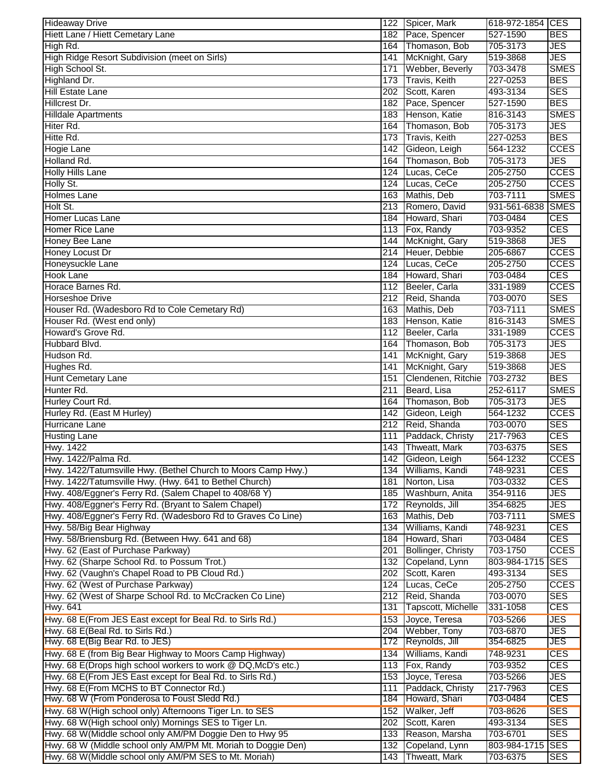| <b>Hideaway Drive</b>                                                                                                    |     | 122 Spicer, Mark                | 618-972-1854 CES         |                          |
|--------------------------------------------------------------------------------------------------------------------------|-----|---------------------------------|--------------------------|--------------------------|
| Hiett Lane / Hiett Cemetary Lane                                                                                         | 182 | Pace, Spencer                   | 527-1590                 | <b>BES</b>               |
| High Rd.                                                                                                                 |     | 164 Thomason, Bob               | 705-3173                 | <b>JES</b>               |
| High Ridge Resort Subdivision (meet on Sirls)                                                                            | 141 | McKnight, Gary                  | 519-3868                 | <b>JES</b>               |
| High School St.                                                                                                          | 171 | Webber, Beverly                 | 703-3478                 | <b>SMES</b>              |
| Highland Dr.                                                                                                             |     | 173 Travis, Keith               | 227-0253                 | <b>BES</b>               |
| Hill Estate Lane                                                                                                         |     | 202 Scott, Karen                | 493-3134                 | <b>SES</b>               |
| Hillcrest Dr.                                                                                                            |     | 182 Pace, Spencer               | 527-1590                 | <b>BES</b>               |
| <b>Hilldale Apartments</b>                                                                                               |     | 183 Henson, Katie               | 816-3143                 | <b>SMES</b>              |
| Hiter Rd.                                                                                                                | 164 | Thomason, Bob                   | 705-3173                 | <b>JES</b>               |
| Hitte Rd.                                                                                                                |     | 173 Travis, Keith               | 227-0253                 | <b>BES</b>               |
| <b>Hogie Lane</b>                                                                                                        |     | 142 Gideon, Leigh               | 564-1232                 | <b>CCES</b>              |
| Holland Rd.                                                                                                              | 164 | Thomason, Bob                   | 705-3173                 | <b>JES</b>               |
| <b>Holly Hills Lane</b>                                                                                                  | 124 | Lucas, CeCe                     | 205-2750                 | <b>CCES</b>              |
| Holly St.                                                                                                                | 124 | Lucas, CeCe                     | 205-2750                 | <b>CCES</b>              |
| Holmes Lane                                                                                                              | 163 | Mathis, Deb                     | 703-7111                 | <b>SMES</b>              |
| Holt St.                                                                                                                 |     | 213 Romero, David               | 931-561-6838             | <b>SMES</b>              |
| Homer Lucas Lane                                                                                                         | 184 | Howard, Shari                   | 703-0484                 | <b>CES</b>               |
| Homer Rice Lane                                                                                                          |     | 113 Fox, Randy                  | 703-9352                 | <b>CES</b>               |
| Honey Bee Lane                                                                                                           |     | 144 McKnight, Gary              | 519-3868                 | <b>JES</b>               |
| Honey Locust Dr                                                                                                          |     | 214 Heuer, Debbie               | 205-6867                 | <b>CCES</b>              |
| Honeysuckle Lane                                                                                                         |     | 124 Lucas, CeCe                 | 205-2750                 | <b>CCES</b>              |
| <b>Hook Lane</b>                                                                                                         |     | 184 Howard, Shari               | 703-0484                 | <b>CES</b>               |
| Horace Barnes Rd.                                                                                                        |     | 112 Beeler, Carla               | 331-1989                 | <b>CCES</b>              |
| <b>Horseshoe Drive</b>                                                                                                   |     | 212 Reid, Shanda                | 703-0070                 | <b>SES</b>               |
| Houser Rd. (Wadesboro Rd to Cole Cemetary Rd)                                                                            |     | 163 Mathis, Deb                 | 703-7111                 | <b>SMES</b>              |
| Houser Rd. (West end only)                                                                                               |     | 183 Henson, Katie               | 816-3143                 | <b>SMES</b>              |
| Howard's Grove Rd.                                                                                                       |     | 112 Beeler, Carla               | 331-1989                 | <b>CCES</b>              |
| Hubbard Blvd.                                                                                                            |     | 164 Thomason, Bob               | 705-3173                 | <b>JES</b>               |
| Hudson Rd.                                                                                                               | 141 | McKnight, Gary                  | 519-3868                 | <b>JES</b>               |
| Hughes Rd.                                                                                                               | 141 | McKnight, Gary                  | 519-3868                 | <b>JES</b>               |
| <b>Hunt Cemetary Lane</b>                                                                                                | 151 | Clendenen, Ritchie              | 703-2732                 | <b>BES</b>               |
| Hunter Rd.                                                                                                               | 211 | Beard, Lisa                     | 252-6117                 | <b>SMES</b>              |
| Hurley Court Rd.                                                                                                         | 164 | Thomason, Bob                   | 705-3173                 | <b>JES</b>               |
| Hurley Rd. (East M Hurley)                                                                                               | 142 | Gideon, Leigh                   | 564-1232                 | <b>CCES</b>              |
| Hurricane Lane                                                                                                           |     | 212 Reid, Shanda                | 703-0070                 | <b>SES</b>               |
| <b>Husting Lane</b>                                                                                                      | 111 | Paddack, Christy                | 217-7963                 | <b>CES</b>               |
| <b>Hwy. 1422</b>                                                                                                         |     | 143 Thweatt, Mark               | 703-6375                 | <b>SES</b>               |
| Hwy. 1422/Palma Rd.                                                                                                      |     | 142 Gideon, Leigh               | 564-1232                 | <b>CCES</b>              |
| Hwy. 1422/Tatumsville Hwy. (Bethel Church to Moors Camp Hwy.)                                                            | 134 | Williams, Kandi                 | 748-9231                 | <b>CES</b>               |
| Hwy. 1422/Tatumsville Hwy. (Hwy. 641 to Bethel Church)                                                                   | 181 | Norton, Lisa                    | 703-0332                 | <b>CES</b>               |
| Hwy. 408/Eggner's Ferry Rd. (Salem Chapel to 408/68 Y)                                                                   |     | 185 Washburn, Anita             | 354-9116                 | <b>JES</b>               |
| Hwy. 408/Eggner's Ferry Rd. (Bryant to Salem Chapel)                                                                     | 172 | Reynolds, Jill                  | 354-6825                 | <b>JES</b>               |
| Hwy. 408/Eggner's Ferry Rd. (Wadesboro Rd to Graves Co Line)                                                             |     | 163 Mathis, Deb                 | 703-7111                 | <b>SMES</b>              |
| Hwy. 58/Big Bear Highway                                                                                                 | 134 | Williams, Kandi                 | 748-9231                 | <b>CES</b>               |
| Hwy. 58/Briensburg Rd. (Between Hwy. 641 and 68)                                                                         | 184 | Howard, Shari                   | 703-0484                 | <b>CES</b>               |
| Hwy. 62 (East of Purchase Parkway)                                                                                       | 201 | Bollinger, Christy              | 703-1750                 | <b>CCES</b>              |
| Hwy. 62 (Sharpe School Rd. to Possum Trot.)                                                                              | 132 | Copeland, Lynn                  | 803-984-1715             | <b>SES</b>               |
| Hwy. 62 (Vaughn's Chapel Road to PB Cloud Rd.)                                                                           | 202 | Scott, Karen                    | 493-3134                 | <b>SES</b>               |
| Hwy. 62 (West of Purchase Parkway)                                                                                       | 124 | Lucas, CeCe                     | 205-2750                 | <b>CCES</b>              |
| Hwy. 62 (West of Sharpe School Rd. to McCracken Co Line)                                                                 | 212 | Reid, Shanda                    | 703-0070                 | <b>SES</b>               |
| <b>Hwy. 641</b>                                                                                                          | 131 | Tapscott, Michelle              | 331-1058                 | CES                      |
| Hwy. 68 E(From JES East except for Beal Rd. to Sirls Rd.)                                                                | 153 | Joyce, Teresa                   | 703-5266                 | <b>JES</b>               |
| Hwy. 68 E(Beal Rd. to Sirls Rd.)                                                                                         | 204 | Webber, Tony                    | 703-6870                 | <b>JES</b>               |
| Hwy. 68 E(Big Bear Rd. to JES)                                                                                           |     | 172 Reynolds, Jill              | 354-6825                 | <b>JES</b>               |
| Hwy. 68 E (from Big Bear Highway to Moors Camp Highway)                                                                  | 134 | Williams, Kandi                 | 748-9231                 | <b>CES</b>               |
| Hwy. 68 E(Drops high school workers to work @ DQ, McD's etc.)                                                            |     | 113 Fox, Randy                  | 703-9352                 | <b>CES</b>               |
| Hwy. 68 E(From JES East except for Beal Rd. to Sirls Rd.)                                                                |     | 153 Joyce, Teresa               | 703-5266                 | <b>JES</b>               |
| Hwy. 68 E(From MCHS to BT Connector Rd.)<br>Hwy. 68 W (From Ponderosa to Foust Sledd Rd.)                                | 111 | Paddack, Christy                | 217-7963                 | <b>CES</b>               |
|                                                                                                                          |     | 184 Howard, Shari               | 703-0484                 | CES                      |
| Hwy. 68 W(High school only) Afternoons Tiger Ln. to SES                                                                  |     | 152 Walker, Jeff                | 703-8626                 | <b>SES</b>               |
| Hwy. 68 W(High school only) Mornings SES to Tiger Ln.                                                                    |     | 202 Scott, Karen                | 493-3134                 | <b>SES</b>               |
| Hwy. 68 W(Middle school only AM/PM Doggie Den to Hwy 95<br>Hwy. 68 W (Middle school only AM/PM Mt. Moriah to Doggie Den) |     | 133 Reason, Marsha              | 703-6701                 | <b>SES</b><br><b>SES</b> |
| Hwy. 68 W(Middle school only AM/PM SES to Mt. Moriah)                                                                    | 132 | Copeland, Lynn<br>Thweatt, Mark | 803-984-1715<br>703-6375 | <b>SES</b>               |
|                                                                                                                          | 143 |                                 |                          |                          |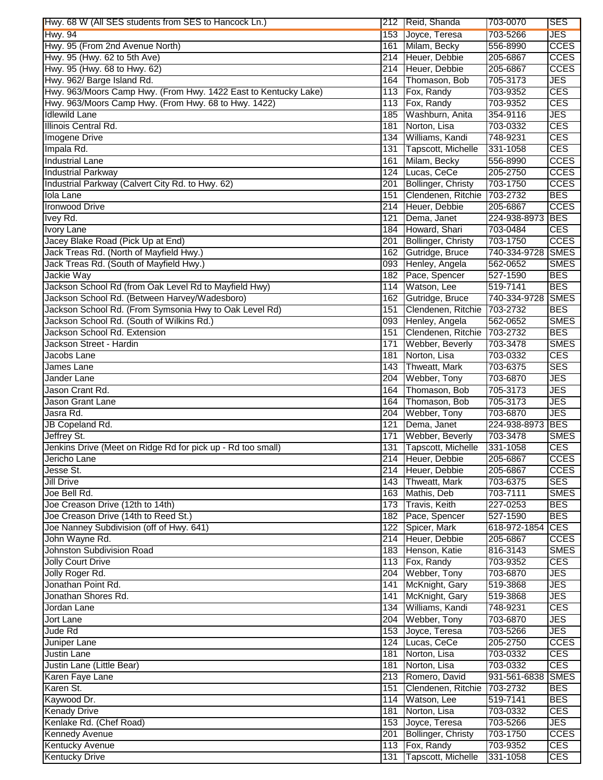| Hwy. 68 W (All SES students from SES to Hancock Ln.)            |            | 212 Reid, Shanda          | 703-0070         | <b>SES</b>               |
|-----------------------------------------------------------------|------------|---------------------------|------------------|--------------------------|
| <b>Hwy. 94</b>                                                  |            | 153 Joyce, Teresa         | 703-5266         | <b>JES</b>               |
| Hwy. 95 (From 2nd Avenue North)                                 | 161        | Milam, Becky              | 556-8990         | <b>CCES</b>              |
| Hwy. 95 (Hwy. 62 to 5th Ave)                                    |            | 214 Heuer, Debbie         | 205-6867         | <b>CCES</b>              |
| Hwy. 95 (Hwy. 68 to Hwy. 62)                                    |            | 214 Heuer, Debbie         | 205-6867         | <b>CCES</b>              |
| Hwy. 962/ Barge Island Rd.                                      | 164        | Thomason, Bob             | 705-3173         | <b>JES</b>               |
| Hwy. 963/Moors Camp Hwy. (From Hwy. 1422 East to Kentucky Lake) |            | 113 Fox, Randy            | 703-9352         | <b>CES</b>               |
| Hwy. 963/Moors Camp Hwy. (From Hwy. 68 to Hwy. 1422)            | 113        | Fox, Randy                | 703-9352         | <b>CES</b>               |
| <b>Idlewild Lane</b>                                            | 185        |                           |                  | <b>JES</b>               |
|                                                                 |            | Washburn, Anita           | 354-9116         |                          |
| Illinois Central Rd.                                            | 181        | Norton, Lisa              | 703-0332         | <b>CES</b>               |
| Imogene Drive                                                   | 134        | Williams, Kandi           | 748-9231         | <b>CES</b>               |
| Impala Rd.                                                      | 131        | Tapscott, Michelle        | 331-1058         | <b>CES</b>               |
| <b>Industrial Lane</b>                                          | 161        | Milam, Becky              | 556-8990         | <b>CCES</b>              |
| <b>Industrial Parkway</b>                                       | 124        | Lucas, CeCe               | 205-2750         | <b>CCES</b>              |
| Industrial Parkway (Calvert City Rd. to Hwy. 62)                | 201        | <b>Bollinger, Christy</b> | 703-1750         | <b>CCES</b>              |
| <b>Iola Lane</b>                                                | 151        | Clendenen, Ritchie        | 703-2732         | <b>BES</b>               |
| <b>Ironwood Drive</b>                                           | 214        | Heuer, Debbie             | 205-6867         | <b>CCES</b>              |
| Ivey Rd.                                                        | 121        | Dema, Janet               | 224-938-8973 BES |                          |
| <b>Ivory Lane</b>                                               | 184        | Howard, Shari             | 703-0484         | <b>CES</b>               |
| Jacey Blake Road (Pick Up at End)                               | 201        | Bollinger, Christy        | 703-1750         | <b>CCES</b>              |
| Jack Treas Rd. (North of Mayfield Hwy.)                         |            | 162 Gutridge, Bruce       | 740-334-9728     | <b>SMES</b>              |
| Jack Treas Rd. (South of Mayfield Hwy.)                         |            | 093 Henley, Angela        | 562-0652         | <b>SMES</b>              |
| Jackie Way                                                      | 182        | Pace, Spencer             | 527-1590         | <b>BES</b>               |
| Jackson School Rd (from Oak Level Rd to Mayfield Hwy)           | 114        | Watson, Lee               | 519-7141         | <b>BES</b>               |
| Jackson School Rd. (Between Harvey/Wadesboro)                   | 162        | Gutridge, Bruce           | 740-334-9728     | <b>SMES</b>              |
| Jackson School Rd. (From Symsonia Hwy to Oak Level Rd)          | 151        | Clendenen, Ritchie        | 703-2732         | <b>BES</b>               |
| Jackson School Rd. (South of Wilkins Rd.)                       |            | 093 Henley, Angela        | 562-0652         | <b>SMES</b>              |
| Jackson School Rd. Extension                                    | 151        | Clendenen, Ritchie        | 703-2732         | <b>BES</b>               |
| Jackson Street - Hardin                                         | 171        | Webber, Beverly           | 703-3478         | <b>SMES</b>              |
| Jacobs Lane                                                     | 181        | Norton, Lisa              | 703-0332         | <b>CES</b>               |
| James Lane                                                      | 143        | Thweatt, Mark             | 703-6375         | <b>SES</b>               |
|                                                                 |            |                           |                  |                          |
| Jander Lane                                                     | 204        | Webber, Tony              | 703-6870         | <b>JES</b>               |
| Jason Crant Rd.                                                 | 164<br>164 | Thomason, Bob             | 705-3173         | <b>JES</b>               |
| Jason Grant Lane<br>Jasra Rd.                                   |            | Thomason, Bob             | 705-3173         | <b>JES</b><br><b>JES</b> |
|                                                                 | 204        | Webber, Tony              | 703-6870         |                          |
| JB Copeland Rd.                                                 | 121        | Dema, Janet               | 224-938-8973 BES |                          |
| Jeffrey St.                                                     | 171        | Webber, Beverly           | 703-3478         | <b>SMES</b>              |
| Jenkins Drive (Meet on Ridge Rd for pick up - Rd too small)     | 131        | Tapscott, Michelle        | 331-1058         | <b>CES</b>               |
| Jericho Lane                                                    |            | 214 Heuer, Debbie         | 205-6867         | <b>CCES</b>              |
| Jesse St.                                                       |            | 214 Heuer, Debbie         | 205-6867         | <b>CCES</b>              |
| <b>Jill Drive</b>                                               |            | 143 Thweatt, Mark         | 703-6375         | <b>SES</b>               |
| Joe Bell Rd.                                                    |            | 163 Mathis, Deb           | 703-7111         | <b>SMES</b>              |
| Joe Creason Drive (12th to 14th)                                |            | 173 Travis, Keith         | 227-0253         | <b>BES</b>               |
| Joe Creason Drive (14th to Reed St.)                            |            | 182 Pace, Spencer         | 527-1590         | <b>BES</b>               |
| Joe Nanney Subdivision (off of Hwy. 641)                        |            | 122 Spicer, Mark          | 618-972-1854     | <b>CES</b>               |
| John Wayne Rd.                                                  |            | 214 Heuer, Debbie         | 205-6867         | <b>CCES</b>              |
| Johnston Subdivision Road                                       |            | 183 Henson, Katie         | 816-3143         | <b>SMES</b>              |
| <b>Jolly Court Drive</b>                                        |            | 113 Fox, Randy            | 703-9352         | <b>CES</b>               |
| Jolly Roger Rd.                                                 |            | 204 Webber, Tony          | 703-6870         | <b>JES</b>               |
| Jonathan Point Rd.                                              | 141        | McKnight, Gary            | 519-3868         | <b>JES</b>               |
| Jonathan Shores Rd.                                             | 141        | McKnight, Gary            | 519-3868         | <b>JES</b>               |
| Jordan Lane                                                     |            | 134 Williams, Kandi       | 748-9231         | <b>CES</b>               |
| <b>Jort Lane</b>                                                |            | 204 Webber, Tony          | 703-6870         | <b>JES</b>               |
| Jude Rd                                                         |            | 153 Joyce, Teresa         | 703-5266         | <b>JES</b>               |
| Juniper Lane                                                    |            | 124 Lucas, CeCe           | 205-2750         | <b>CCES</b>              |
| <b>Justin Lane</b>                                              |            | 181 Norton, Lisa          | 703-0332         | <b>CES</b>               |
| Justin Lane (Little Bear)                                       | 181        | Norton, Lisa              | 703-0332         | <b>CES</b>               |
| Karen Faye Lane                                                 |            | 213 Romero, David         | 931-561-6838     | <b>SMES</b>              |
| Karen St.                                                       | 151        | Clendenen, Ritchie        | 703-2732         | <b>BES</b>               |
| Kaywood Dr.                                                     |            | 114 Watson, Lee           | 519-7141         | <b>BES</b>               |
| <b>Kenady Drive</b>                                             | 181        | Norton, Lisa              | 703-0332         | <b>CES</b>               |
| Kenlake Rd. (Chef Road)                                         |            | 153 Joyce, Teresa         | 703-5266         | JES                      |
| <b>Kennedy Avenue</b>                                           | 201        | <b>Bollinger, Christy</b> | 703-1750         | <b>CCES</b>              |
| Kentucky Avenue                                                 |            | 113 Fox, Randy            | 703-9352         | <b>CES</b>               |
| <b>Kentucky Drive</b>                                           | 131        | Tapscott, Michelle        | 331-1058         | <b>CES</b>               |
|                                                                 |            |                           |                  |                          |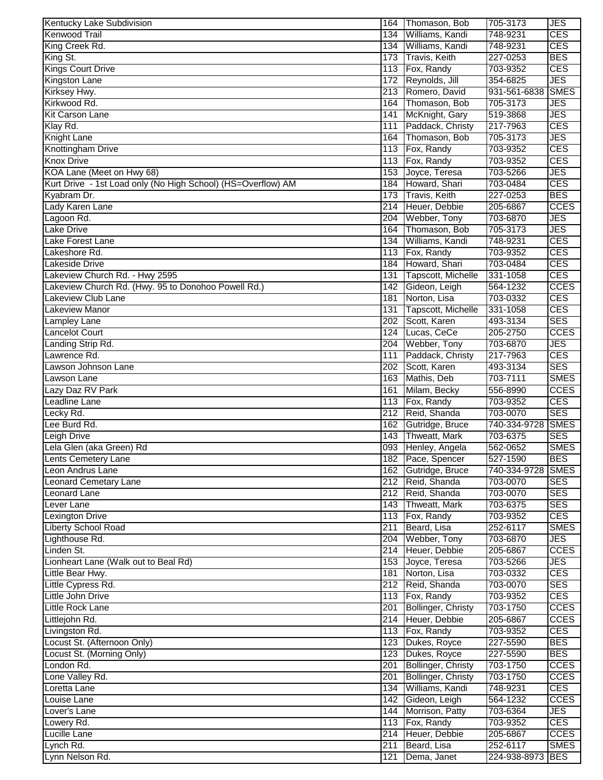| Kentucky Lake Subdivision                                    |     | 164 Thomason, Bob      | 705-3173          | JES         |
|--------------------------------------------------------------|-----|------------------------|-------------------|-------------|
| <b>Kenwood Trail</b>                                         | 134 | Williams, Kandi        | 748-9231          | <b>CES</b>  |
| King Creek Rd.                                               |     | 134 Williams, Kandi    | 748-9231          | <b>CES</b>  |
| King St.                                                     |     | 173 Travis, Keith      | 227-0253          | <b>BES</b>  |
| <b>Kings Court Drive</b>                                     |     | 113 Fox, Randy         | 703-9352          | <b>CES</b>  |
| Kingston Lane                                                |     | 172 Reynolds, Jill     | 354-6825          | <b>JES</b>  |
| Kirksey Hwy.                                                 | 213 | Romero, David          | 931-561-6838      | <b>SMES</b> |
| Kirkwood Rd.                                                 | 164 | Thomason, Bob          | 705-3173          | JES         |
| <b>Kit Carson Lane</b>                                       | 141 | McKnight, Gary         | 519-3868          | JES         |
| Klay Rd.                                                     | 111 | Paddack, Christy       | 217-7963          | <b>CES</b>  |
| <b>Knight Lane</b>                                           | 164 | Thomason, Bob          | 705-3173          | JES         |
| Knottingham Drive                                            | 113 | Fox, Randy             | 703-9352          | <b>CES</b>  |
| <b>Knox Drive</b>                                            | 113 | Fox, Randy             | 703-9352          | <b>CES</b>  |
|                                                              |     |                        | 703-5266          | JES         |
| KOA Lane (Meet on Hwy 68)                                    | 153 | Joyce, Teresa          |                   |             |
| Kurt Drive - 1st Load only (No High School) (HS=Overflow) AM | 184 | Howard, Shari          | 703-0484          | <b>CES</b>  |
| Kyabram Dr.                                                  | 173 | Travis, Keith          | 227-0253          | <b>BES</b>  |
| Lady Karen Lane                                              | 214 | Heuer, Debbie          | 205-6867          | <b>CCES</b> |
| Lagoon Rd.                                                   | 204 | Webber, Tony           | 703-6870          | JES         |
| Lake Drive                                                   | 164 | Thomason, Bob          | 705-3173          | JES         |
| Lake Forest Lane                                             | 134 | Williams, Kandi        | 748-9231          | <b>CES</b>  |
| Lakeshore Rd.                                                | 113 | Fox, Randy             | 703-9352          | <b>CES</b>  |
| Lakeside Drive                                               | 184 | Howard, Shari          | 703-0484          | <b>CES</b>  |
| Lakeview Church Rd. - Hwy 2595                               | 131 | Tapscott, Michelle     | 331-1058          | <b>CES</b>  |
| Lakeview Church Rd. (Hwy. 95 to Donohoo Powell Rd.)          | 142 | Gideon, Leigh          | 564-1232          | <b>CCES</b> |
| Lakeview Club Lane                                           | 181 | Norton, Lisa           | 703-0332          | CES         |
| Lakeview Manor                                               | 131 | Tapscott, Michelle     | 331-1058          | <b>CES</b>  |
| Lampley Lane                                                 | 202 | Scott, Karen           | 493-3134          | <b>SES</b>  |
| <b>Lancelot Court</b>                                        |     | 124 Lucas, CeCe        | 205-2750          | <b>CCES</b> |
| Landing Strip Rd.                                            |     | 204 Webber, Tony       | 703-6870          | JES         |
| Lawrence Rd.                                                 | 111 | Paddack, Christy       | 217-7963          | <b>CES</b>  |
| Lawson Johnson Lane                                          | 202 | Scott, Karen           | 493-3134          | <b>SES</b>  |
| Lawson Lane                                                  |     | 163 Mathis, Deb        | 703-7111          | <b>SMES</b> |
| Lazy Daz RV Park                                             | 161 | Milam, Becky           | 556-8990          | <b>CCES</b> |
| <b>Leadline Lane</b>                                         |     | 113 Fox, Randy         | 703-9352          | <b>CES</b>  |
|                                                              |     |                        | 703-0070          | <b>SES</b>  |
| Lecky Rd.                                                    |     | 212 Reid, Shanda       |                   |             |
| Lee Burd Rd.                                                 | 162 | Gutridge, Bruce        | 740-334-9728      | <b>SMES</b> |
| Leigh Drive                                                  |     | 143 Thweatt, Mark      | 703-6375          | <b>SES</b>  |
| Lela Glen (aka Green) Rd                                     |     | 093 Henley, Angela     | 562-0652          | <b>SMES</b> |
| Lents Cemetery Lane                                          |     | 182 Pace, Spencer      | 527-1590          | <b>BES</b>  |
| Leon Andrus Lane                                             |     | 162 Gutridge, Bruce    | 740-334-9728 SMES |             |
| Leonard Cemetary Lane                                        |     | 212 Reid, Shanda       | 703-0070          | <b>SES</b>  |
| Leonard Lane                                                 |     | 212 Reid, Shanda       | 703-0070          | <b>SES</b>  |
| Lever Lane                                                   |     | 143 Thweatt, Mark      | 703-6375          | <b>SES</b>  |
| <b>Lexington Drive</b>                                       |     | 113 Fox, Randy         | 703-9352          | <b>CES</b>  |
| <b>Liberty School Road</b>                                   | 211 | Beard, Lisa            | 252-6117          | <b>SMES</b> |
| Lighthouse Rd.                                               |     | 204 Webber, Tony       | 703-6870          | JES.        |
| Linden St.                                                   |     | 214 Heuer, Debbie      | 205-6867          | <b>CCES</b> |
| Lionheart Lane (Walk out to Beal Rd)                         |     | 153 Joyce, Teresa      | 703-5266          | <b>JES</b>  |
| Little Bear Hwy.                                             |     | 181 Norton, Lisa       | 703-0332          | <b>CES</b>  |
| Little Cypress Rd.                                           |     | 212 Reid, Shanda       | 703-0070          | <b>SES</b>  |
| Little John Drive                                            |     | 113 Fox, Randy         | 703-9352          | <b>CES</b>  |
| Little Rock Lane                                             |     | 201 Bollinger, Christy | 703-1750          | <b>CCES</b> |
| Littlejohn Rd.                                               |     | 214 Heuer, Debbie      | 205-6867          | <b>CCES</b> |
| Livingston Rd.                                               |     | 113 Fox, Randy         | 703-9352          | CES         |
| Locust St. (Afternoon Only)                                  |     | 123 Dukes, Royce       | 227-5590          | <b>BES</b>  |
|                                                              |     |                        | 227-5590          | <b>BES</b>  |
| Locust St. (Morning Only)                                    |     | 123 Dukes, Royce       |                   |             |
| London Rd.                                                   |     | 201 Bollinger, Christy | 703-1750          | <b>CCES</b> |
| Lone Valley Rd.                                              |     | 201 Bollinger, Christy | 703-1750          | <b>CCES</b> |
| Loretta Lane                                                 |     | 134 Williams, Kandi    | 748-9231          | <b>CES</b>  |
| Louise Lane                                                  |     | 142 Gideon, Leigh      | 564-1232          | <b>CCES</b> |
| Lover's Lane                                                 |     | 144 Morrison, Patty    | 703-6364          | <b>JES</b>  |
| Lowery Rd.                                                   |     | 113 Fox, Randy         | 703-9352          | <b>CES</b>  |
| Lucille Lane                                                 |     | 214 Heuer, Debbie      | 205-6867          | <b>CCES</b> |
| Lynch Rd.                                                    | 211 | Beard, Lisa            | 252-6117          | <b>SMES</b> |
| Lynn Nelson Rd.                                              | 121 | Dema, Janet            | 224-938-8973      | <b>BES</b>  |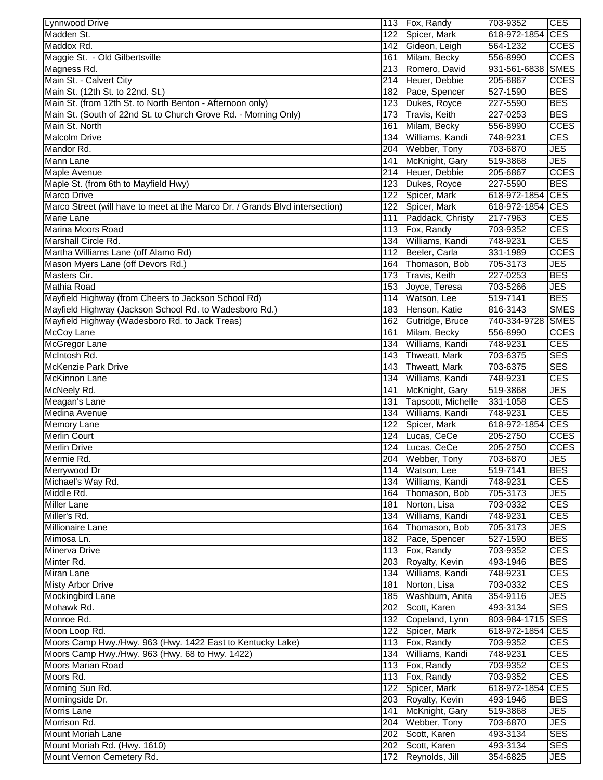| <b>Lynnwood Drive</b>                                                        |     | 113 Fox, Randy                         | 703-9352                     | <b>CES</b>  |
|------------------------------------------------------------------------------|-----|----------------------------------------|------------------------------|-------------|
| Madden St.                                                                   | 122 | Spicer, Mark                           | 618-972-1854                 | <b>CES</b>  |
| Maddox Rd.                                                                   |     | 142 Gideon, Leigh                      | 564-1232                     | <b>CCES</b> |
| Maggie St. - Old Gilbertsville                                               |     | 161 Milam, Becky                       | 556-8990                     | <b>CCES</b> |
| Magness Rd.                                                                  |     | 213 Romero, David                      | 931-561-6838 SMES            |             |
| Main St. - Calvert City                                                      |     | 214 Heuer, Debbie                      | 205-6867                     | <b>CCES</b> |
| Main St. (12th St. to 22nd. St.)                                             |     | 182 Pace, Spencer                      | 527-1590                     | <b>BES</b>  |
| Main St. (from 12th St. to North Benton - Afternoon only)                    | 123 | Dukes, Royce                           | 227-5590                     | <b>BES</b>  |
| Main St. (South of 22nd St. to Church Grove Rd. - Morning Only)              | 173 | <b>Travis, Keith</b>                   | 227-0253                     | <b>BES</b>  |
| Main St. North                                                               | 161 | Milam, Becky                           | 556-8990                     | <b>CCES</b> |
| <b>Malcolm Drive</b>                                                         | 134 | Williams, Kandi                        | 748-9231                     | <b>CES</b>  |
| Mandor Rd.                                                                   | 204 | Webber, Tony                           | 703-6870                     | <b>JES</b>  |
| <b>Mann Lane</b>                                                             | 141 | McKnight, Gary                         | 519-3868                     | <b>JES</b>  |
| Maple Avenue                                                                 | 214 | Heuer, Debbie                          | 205-6867                     | <b>CCES</b> |
| Maple St. (from 6th to Mayfield Hwy)                                         | 123 | Dukes, Royce                           | 227-5590                     | <b>BES</b>  |
| <b>Marco Drive</b>                                                           | 122 | Spicer, Mark                           | 618-972-1854 CES             |             |
| Marco Street (will have to meet at the Marco Dr. / Grands Blvd intersection) | 122 | Spicer, Mark                           | 618-972-1854 CES             |             |
| <b>Marie Lane</b>                                                            | 111 | Paddack, Christy                       | 217-7963                     | <b>CES</b>  |
| Marina Moors Road                                                            |     | 113 Fox, Randy                         | 703-9352                     | <b>CES</b>  |
| Marshall Circle Rd.                                                          | 134 | Williams, Kandi                        | 748-9231                     | <b>CES</b>  |
| Martha Williams Lane (off Alamo Rd)                                          | 112 | Beeler, Carla                          | 331-1989                     | <b>CCES</b> |
| Mason Myers Lane (off Devors Rd.)                                            | 164 | Thomason, Bob                          | 705-3173                     | <b>JES</b>  |
| Masters Cir.                                                                 | 173 | Travis, Keith                          | 227-0253                     | <b>BES</b>  |
| <b>Mathia Road</b>                                                           | 153 | Joyce, Teresa                          | 703-5266                     | <b>JES</b>  |
| Mayfield Highway (from Cheers to Jackson School Rd)                          | 114 | Watson, Lee                            | 519-7141                     | <b>BES</b>  |
| Mayfield Highway (Jackson School Rd. to Wadesboro Rd.)                       | 183 | Henson, Katie                          | 816-3143                     | <b>SMES</b> |
| Mayfield Highway (Wadesboro Rd. to Jack Treas)                               | 162 | Gutridge, Bruce                        | 740-334-9728                 | <b>SMES</b> |
| <b>McCoy Lane</b>                                                            | 161 | Milam, Becky                           | 556-8990                     | <b>CCES</b> |
| McGregor Lane                                                                | 134 | Williams, Kandi                        | 748-9231                     | <b>CES</b>  |
| McIntosh Rd.                                                                 | 143 | Thweatt, Mark                          | 703-6375                     | <b>SES</b>  |
| <b>McKenzie Park Drive</b>                                                   | 143 | Thweatt, Mark                          | 703-6375                     | <b>SES</b>  |
| McKinnon Lane                                                                | 134 | Williams, Kandi                        | 748-9231                     | <b>CES</b>  |
| McNeely Rd.                                                                  | 141 | McKnight, Gary                         | 519-3868                     | <b>JES</b>  |
| Meagan's Lane                                                                | 131 | Tapscott, Michelle                     | 331-1058                     | <b>CES</b>  |
| <b>Medina Avenue</b>                                                         | 134 | Williams, Kandi                        | 748-9231                     | <b>CES</b>  |
| <b>Memory Lane</b>                                                           | 122 | Spicer, Mark                           | 618-972-1854 CES             |             |
| <b>Merlin Court</b>                                                          |     | 124 Lucas, CeCe                        | 205-2750                     | <b>CCES</b> |
| <b>Merlin Drive</b>                                                          |     | 124 Lucas, CeCe                        | 205-2750                     | <b>CCES</b> |
| Mermie Rd.                                                                   |     | 204 Webber, Tony                       | 703-6870                     | <b>JES</b>  |
| Merrywood Dr                                                                 |     | 114 Watson, Lee                        | 519-7141                     | <b>BES</b>  |
| Michael's Way Rd.                                                            |     | 134 Williams, Kandi                    | 748-9231                     | <b>CES</b>  |
| Middle Rd.                                                                   |     | 164 Thomason, Bob                      | 705-3173                     | <b>JES</b>  |
| <b>Miller Lane</b>                                                           | 181 | Norton, Lisa                           | 703-0332                     | <b>CES</b>  |
| Miller's Rd.                                                                 |     | 134 Williams, Kandi                    | 748-9231                     | <b>CES</b>  |
| Millionaire Lane                                                             |     | 164 Thomason, Bob                      | 705-3173                     | <b>JES</b>  |
| Mimosa Ln.                                                                   |     | 182 Pace, Spencer                      | 527-1590                     | <b>BES</b>  |
| <b>Minerva Drive</b>                                                         |     | 113 Fox, Randy                         | 703-9352                     | <b>CES</b>  |
| Minter Rd.                                                                   |     | 203 Royalty, Kevin                     | 493-1946                     | <b>BES</b>  |
| Miran Lane                                                                   |     | 134 Williams, Kandi                    | 748-9231                     | <b>CES</b>  |
| <b>Misty Arbor Drive</b>                                                     | 181 | Norton, Lisa                           | 703-0332                     | <b>CES</b>  |
| Mockingbird Lane                                                             |     | 185 Washburn, Anita                    | 354-9116                     | <b>JES</b>  |
| Mohawk Rd.<br>Monroe Rd.                                                     |     | 202 Scott, Karen                       | 493-3134<br>803-984-1715 SES | <b>SES</b>  |
| Moon Loop Rd.                                                                |     | 132 Copeland, Lynn<br>122 Spicer, Mark | 618-972-1854 CES             |             |
| Moors Camp Hwy./Hwy. 963 (Hwy. 1422 East to Kentucky Lake)                   |     | 113 Fox, Randy                         | 703-9352                     | <b>CES</b>  |
| Moors Camp Hwy./Hwy. 963 (Hwy. 68 to Hwy. 1422)                              |     | 134 Williams, Kandi                    | 748-9231                     | <b>CES</b>  |
| <b>Moors Marian Road</b>                                                     |     | 113 Fox, Randy                         | 703-9352                     | <b>CES</b>  |
| Moors Rd.                                                                    |     | 113 Fox, Randy                         | 703-9352                     | <b>CES</b>  |
| Morning Sun Rd.                                                              |     | 122 Spicer, Mark                       | 618-972-1854                 | <b>CES</b>  |
| Morningside Dr.                                                              |     | 203 Royalty, Kevin                     | 493-1946                     | <b>BES</b>  |
| <b>Morris Lane</b>                                                           |     | 141 McKnight, Gary                     | 519-3868                     | <b>JES</b>  |
| Morrison Rd.                                                                 |     | 204 Webber, Tony                       | 703-6870                     | JES         |
| <b>Mount Moriah Lane</b>                                                     |     | 202 Scott, Karen                       | 493-3134                     | <b>SES</b>  |
| Mount Moriah Rd. (Hwy. 1610)                                                 | 202 | Scott, Karen                           | 493-3134                     | <b>SES</b>  |
| Mount Vernon Cemetery Rd.                                                    |     | 172 Reynolds, Jill                     | 354-6825                     | <b>JES</b>  |
|                                                                              |     |                                        |                              |             |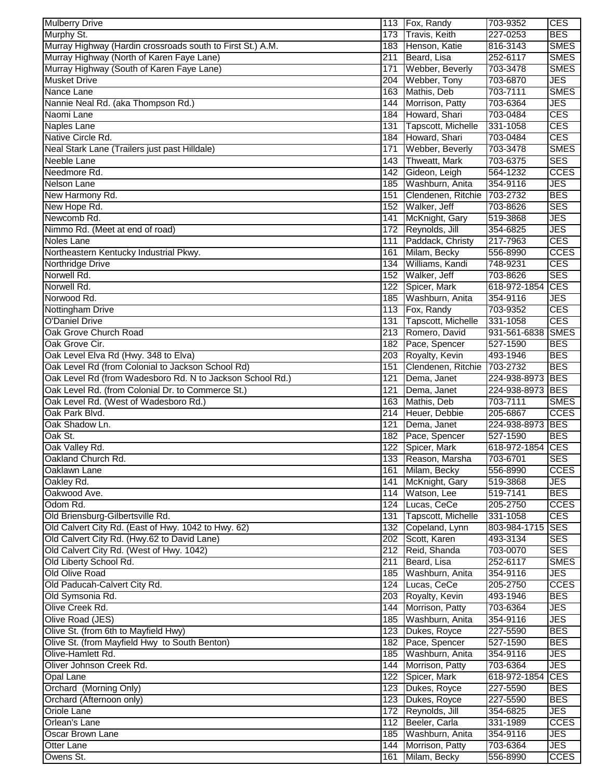| <b>Mulberry Drive</b>                                      |                  | 113 Fox, Randy       | 703-9352         | <b>CES</b>                |
|------------------------------------------------------------|------------------|----------------------|------------------|---------------------------|
| Murphy St.                                                 | 173              | <b>Travis, Keith</b> | 227-0253         | <b>BES</b>                |
| Murray Highway (Hardin crossroads south to First St.) A.M. |                  | 183 Henson, Katie    | 816-3143         | <b>SMES</b>               |
| Murray Highway (North of Karen Faye Lane)                  | 211              | Beard, Lisa          | 252-6117         | <b>SMES</b>               |
| Murray Highway (South of Karen Faye Lane)                  | 171              | Webber, Beverly      | 703-3478         | <b>SMES</b>               |
| <b>Musket Drive</b>                                        |                  | 204 Webber, Tony     | 703-6870         | <b>JES</b>                |
| Nance Lane                                                 |                  | 163 Mathis, Deb      | 703-7111         | <b>SMES</b>               |
| Nannie Neal Rd. (aka Thompson Rd.)                         | 144              | Morrison, Patty      | 703-6364         | <b>JES</b>                |
| Naomi Lane                                                 |                  | 184 Howard, Shari    | 703-0484         | <b>CES</b>                |
| <b>Naples Lane</b>                                         | 131              | Tapscott, Michelle   | 331-1058         | <b>CES</b>                |
| Native Circle Rd.                                          |                  | 184 Howard, Shari    | 703-0484         | <b>CES</b>                |
| Neal Stark Lane (Trailers just past Hilldale)              | 171              | Webber, Beverly      | 703-3478         | <b>SMES</b>               |
| Neeble Lane                                                | 143              | Thweatt, Mark        | 703-6375         | <b>SES</b>                |
| Needmore Rd.                                               | 142              | Gideon, Leigh        | 564-1232         | <b>CCES</b>               |
| <b>Nelson Lane</b>                                         |                  | 185 Washburn, Anita  | 354-9116         | <b>JES</b>                |
| New Harmony Rd.                                            | 151              | Clendenen, Ritchie   | 703-2732         | <b>BES</b>                |
| New Hope Rd.                                               |                  |                      |                  | <b>SES</b>                |
| Newcomb Rd.                                                |                  | 152 Walker, Jeff     | 703-8626         | <b>JES</b>                |
|                                                            | 141              | McKnight, Gary       | 519-3868         |                           |
| Nimmo Rd. (Meet at end of road)                            |                  | 172 Reynolds, Jill   | 354-6825         | <b>JES</b>                |
| Noles Lane                                                 | 111              | Paddack, Christy     | 217-7963         | <b>CES</b>                |
| Northeastern Kentucky Industrial Pkwy.                     | 161              | Milam, Becky         | 556-8990         | <b>CCES</b>               |
| Northridge Drive                                           | 134              | Williams, Kandi      | 748-9231         | <b>CES</b>                |
| Norwell Rd.                                                |                  | 152 Walker, Jeff     | 703-8626         | <b>SES</b>                |
| Norwell Rd.                                                |                  | 122 Spicer, Mark     | 618-972-1854     | <b>CES</b>                |
| Norwood Rd.                                                |                  | 185 Washburn, Anita  | 354-9116         | <b>JES</b>                |
| Nottingham Drive                                           |                  | 113 Fox, Randy       | 703-9352         | <b>CES</b>                |
| <b>O'Daniel Drive</b>                                      | 131              | Tapscott, Michelle   | 331-1058         | <b>CES</b>                |
| Oak Grove Church Road                                      |                  | 213 Romero, David    | 931-561-6838     | <b>SMES</b>               |
| Oak Grove Cir.                                             |                  | 182 Pace, Spencer    | 527-1590         | <b>BES</b>                |
| Oak Level Elva Rd (Hwy. 348 to Elva)                       | 203              | Royalty, Kevin       | 493-1946         | <b>BES</b>                |
| Oak Level Rd (from Colonial to Jackson School Rd)          | 151              | Clendenen, Ritchie   | 703-2732         | <b>BES</b>                |
| Oak Level Rd (from Wadesboro Rd. N to Jackson School Rd.)  | 121              | Dema, Janet          | 224-938-8973 BES |                           |
| Oak Level Rd. (from Colonial Dr. to Commerce St.)          | 121              | Dema, Janet          | 224-938-8973 BES |                           |
| Oak Level Rd. (West of Wadesboro Rd.)                      | 163              | Mathis, Deb          | 703-7111         | <b>SMES</b>               |
| Oak Park Blvd.                                             | $\overline{214}$ | Heuer, Debbie        | 205-6867         | <b>CCES</b>               |
| Oak Shadow Ln.                                             | 121              | Dema, Janet          | 224-938-8973 BES |                           |
| Oak St.                                                    |                  | 182 Pace, Spencer    | 527-1590         | <b>BES</b>                |
| Oak Valley Rd.                                             |                  | 122 Spicer, Mark     | 618-972-1854 CES |                           |
| Oakland Church Rd.                                         |                  | 133 Reason, Marsha   | 703-6701         | <b>SES</b>                |
| Oaklawn Lane                                               |                  | 161 Milam, Becky     | 556-8990         | <b>CCES</b>               |
| Oakley Rd.                                                 |                  | 141 McKnight, Gary   | 519-3868         | <b>JES</b>                |
| Oakwood Ave.                                               |                  | 114 Watson, Lee      | 519-7141         | <b>BES</b>                |
|                                                            |                  |                      |                  |                           |
| Odom Rd.                                                   |                  | 124 Lucas, CeCe      | 205-2750         | <b>CCES</b><br><b>CES</b> |
| Old Briensburg-Gilbertsville Rd.                           | 131              | Tapscott, Michelle   | 331-1058         |                           |
| Old Calvert City Rd. (East of Hwy. 1042 to Hwy. 62)        |                  | 132 Copeland, Lynn   | 803-984-1715 SES |                           |
| Old Calvert City Rd. (Hwy.62 to David Lane)                |                  | 202 Scott, Karen     | 493-3134         | <b>SES</b>                |
| Old Calvert City Rd. (West of Hwy. 1042)                   |                  | 212 Reid, Shanda     | 703-0070         | <b>SES</b>                |
| Old Liberty School Rd.                                     | 211              | Beard, Lisa          | 252-6117         | <b>SMES</b>               |
| Old Olive Road                                             |                  | 185 Washburn, Anita  | 354-9116         | <b>JES</b>                |
| Old Paducah-Calvert City Rd.                               |                  | 124 Lucas, CeCe      | 205-2750         | <b>CCES</b>               |
| Old Symsonia Rd.                                           |                  | 203 Royalty, Kevin   | 493-1946         | <b>BES</b>                |
| Olive Creek Rd.                                            |                  | 144 Morrison, Patty  | 703-6364         | <b>JES</b>                |
| Olive Road (JES)                                           |                  | 185 Washburn, Anita  | 354-9116         | <b>JES</b>                |
| Olive St. (from 6th to Mayfield Hwy)                       |                  | 123 Dukes, Royce     | 227-5590         | <b>BES</b>                |
| Olive St. (from Mayfield Hwy to South Benton)              |                  | 182 Pace, Spencer    | 527-1590         | <b>BES</b>                |
| Olive-Hamlett Rd.                                          |                  | 185 Washburn, Anita  | 354-9116         | <b>JES</b>                |
| Oliver Johnson Creek Rd.                                   |                  | 144 Morrison, Patty  | 703-6364         | <b>JES</b>                |
| Opal Lane                                                  |                  | 122 Spicer, Mark     | 618-972-1854 CES |                           |
| Orchard (Morning Only)                                     |                  | 123 Dukes, Royce     | 227-5590         | <b>BES</b>                |
| Orchard (Afternoon only)                                   |                  | 123 Dukes, Royce     | 227-5590         | <b>BES</b>                |
| Oriole Lane                                                |                  | 172 Reynolds, Jill   | 354-6825         | JES                       |
| Orlean's Lane                                              |                  | 112 Beeler, Carla    | 331-1989         | <b>CCES</b>               |
| Oscar Brown Lane                                           |                  | 185 Washburn, Anita  | 354-9116         | JES                       |
| <b>Otter Lane</b>                                          | 144              | Morrison, Patty      | 703-6364         | <b>JES</b>                |
| Owens St.                                                  |                  | 161 Milam, Becky     | 556-8990         | <b>CCES</b>               |
|                                                            |                  |                      |                  |                           |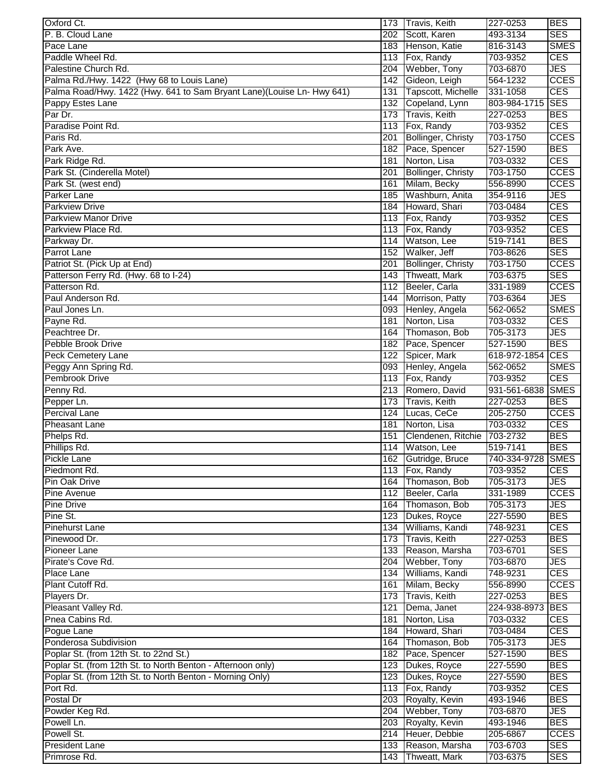| Oxford Ct.                                                             |                         | 173 Travis, Keith           | 227-0253                 | <b>BES</b>                |
|------------------------------------------------------------------------|-------------------------|-----------------------------|--------------------------|---------------------------|
| P. B. Cloud Lane                                                       | 202                     | Scott, Karen                | 493-3134                 | <b>SES</b>                |
| Pace Lane                                                              |                         | 183 Henson, Katie           | 816-3143                 | <b>SMES</b>               |
| Paddle Wheel Rd.                                                       |                         | 113 Fox, Randy              | 703-9352                 | <b>CES</b>                |
| Palestine Church Rd.                                                   | 204                     | Webber, Tony                | 703-6870                 | <b>JES</b>                |
| Palma Rd./Hwy. 1422 (Hwy 68 to Louis Lane)                             | 142                     | Gideon, Leigh               | 564-1232                 | <b>CCES</b>               |
| Palma Road/Hwy. 1422 (Hwy. 641 to Sam Bryant Lane)(Louise Ln- Hwy 641) | 131                     | Tapscott, Michelle          | 331-1058                 | <b>CES</b>                |
| Pappy Estes Lane                                                       | 132                     | Copeland, Lynn              | 803-984-1715             | <b>SES</b>                |
| Par Dr.                                                                | 173                     | <b>Travis, Keith</b>        | 227-0253                 | <b>BES</b>                |
| Paradise Point Rd.                                                     |                         | 113 Fox, Randy              | 703-9352                 | <b>CES</b>                |
| Paris Rd.                                                              | 201                     | Bollinger, Christy          | 703-1750                 | <b>CCES</b>               |
| Park Ave.                                                              |                         | 182 Pace, Spencer           | 527-1590                 | <b>BES</b>                |
| Park Ridge Rd.                                                         | 181                     | Norton, Lisa                | 703-0332                 | <b>CES</b>                |
| Park St. (Cinderella Motel)                                            | 201                     | Bollinger, Christy          | 703-1750                 | <b>CCES</b>               |
| Park St. (west end)                                                    | 161                     | Milam, Becky                | 556-8990                 | <b>CCES</b>               |
| Parker Lane                                                            |                         | 185 Washburn, Anita         | 354-9116                 | <b>JES</b>                |
| <b>Parkview Drive</b>                                                  |                         | 184 Howard, Shari           | 703-0484                 | <b>CES</b>                |
| Parkview Manor Drive                                                   |                         | 113 Fox, Randy              | 703-9352                 | <b>CES</b>                |
| Parkview Place Rd.                                                     |                         | 113 Fox, Randy              | 703-9352                 | <b>CES</b>                |
| Parkway Dr.                                                            | 114                     | Watson, Lee                 | 519-7141                 | <b>BES</b>                |
| Parrot Lane                                                            |                         | 152 Walker, Jeff            | 703-8626                 | <b>SES</b>                |
| Patriot St. (Pick Up at End)                                           | 201                     | <b>Bollinger, Christy</b>   | 703-1750                 | <b>CCES</b>               |
| Patterson Ferry Rd. (Hwy. 68 to I-24)                                  |                         | 143 Thweatt, Mark           | 703-6375                 | <b>SES</b>                |
| Patterson Rd.                                                          |                         | 112 Beeler, Carla           | 331-1989                 | <b>CCES</b>               |
| Paul Anderson Rd.                                                      |                         | 144 Morrison, Patty         | 703-6364                 | <b>JES</b>                |
| Paul Jones Ln.                                                         |                         | 093 Henley, Angela          | 562-0652                 | <b>SMES</b>               |
| Payne Rd.                                                              | 181                     | Norton, Lisa                | 703-0332                 | <b>CES</b>                |
| Peachtree Dr.                                                          | 164                     | Thomason, Bob               | 705-3173                 | <b>JES</b>                |
| Pebble Brook Drive                                                     |                         | 182 Pace, Spencer           | 527-1590                 | <b>BES</b>                |
| <b>Peck Cemetery Lane</b>                                              | 122                     | Spicer, Mark                | 618-972-1854             | <b>CES</b>                |
| Peggy Ann Spring Rd.                                                   | 093                     | Henley, Angela              | 562-0652                 | <b>SMES</b>               |
| Pembrook Drive                                                         | 113                     | Fox, Randy                  | 703-9352                 | <b>CES</b>                |
| Penny Rd.                                                              | 213                     | Romero, David               | 931-561-6838             | <b>SMES</b>               |
| Pepper Ln.<br>Percival Lane                                            | 173<br>$\overline{124}$ | Travis, Keith               | $227 - 0253$<br>205-2750 | <b>BES</b><br><b>CCES</b> |
| <b>Pheasant Lane</b>                                                   | 181                     | Lucas, CeCe<br>Norton, Lisa | 703-0332                 | <b>CES</b>                |
| Phelps Rd.                                                             | 151                     | Clendenen, Ritchie          | 703-2732                 | <b>BES</b>                |
| Phillips Rd.                                                           |                         | 114 Watson, Lee             | 519-7141                 | <b>BES</b>                |
| Pickle Lane                                                            |                         | 162 Gutridge, Bruce         | 740-334-9728 SMES        |                           |
| Piedmont Rd.                                                           |                         | 113 Fox, Randy              | 703-9352                 | <b>CES</b>                |
| Pin Oak Drive                                                          | 164                     | Thomason, Bob               | 705-3173                 | <b>JES</b>                |
| <b>Pine Avenue</b>                                                     |                         | 112 Beeler, Carla           | 331-1989                 | <b>CCES</b>               |
| <b>Pine Drive</b>                                                      |                         | 164 Thomason, Bob           | 705-3173                 | <b>JES</b>                |
| Pine St.                                                               |                         | 123 Dukes, Royce            | 227-5590                 | <b>BES</b>                |
| <b>Pinehurst Lane</b>                                                  |                         | 134 Williams, Kandi         | 748-9231                 | <b>CES</b>                |
| Pinewood Dr.                                                           |                         | 173 Travis, Keith           | 227-0253                 | <b>BES</b>                |
| Pioneer Lane                                                           |                         | 133 Reason, Marsha          | 703-6701                 | <b>SES</b>                |
| Pirate's Cove Rd.                                                      | 204                     | Webber, Tony                | 703-6870                 | <b>JES</b>                |
| Place Lane                                                             |                         | 134 Williams, Kandi         | 748-9231                 | <b>CES</b>                |
| Plant Cutoff Rd.                                                       | 161                     | Milam, Becky                | 556-8990                 | <b>CCES</b>               |
| Players Dr.                                                            |                         | 173 Travis, Keith           | 227-0253                 | <b>BES</b>                |
| Pleasant Valley Rd.                                                    | $\overline{121}$        | Dema, Janet                 | 224-938-8973 BES         |                           |
| Pnea Cabins Rd.                                                        | 181                     | Norton, Lisa                | 703-0332                 | <b>CES</b>                |
| Pogue Lane                                                             |                         | 184 Howard, Shari           | 703-0484                 | <b>CES</b>                |
| Ponderosa Subdivision                                                  |                         | 164 Thomason, Bob           | 705-3173                 | <b>JES</b>                |
| Poplar St. (from 12th St. to 22nd St.)                                 |                         | 182 Pace, Spencer           | 527-1590                 | <b>BES</b>                |
| Poplar St. (from 12th St. to North Benton - Afternoon only)            |                         | 123 Dukes, Royce            | 227-5590                 | <b>BES</b>                |
| Poplar St. (from 12th St. to North Benton - Morning Only)              |                         | 123 Dukes, Royce            | 227-5590                 | <b>BES</b>                |
| Port Rd.                                                               |                         | 113 Fox, Randy              | 703-9352                 | <b>CES</b>                |
| Postal Dr                                                              |                         | 203 Royalty, Kevin          | 493-1946                 | <b>BES</b>                |
| Powder Keg Rd.                                                         |                         | 204 Webber, Tony            | 703-6870                 | <b>JES</b>                |
| Powell Ln.                                                             |                         | 203 Royalty, Kevin          | 493-1946                 | <b>BES</b>                |
| Powell St.                                                             |                         | 214 Heuer, Debbie           | 205-6867                 | <b>CCES</b>               |
| <b>President Lane</b>                                                  | 133                     | Reason, Marsha              | 703-6703                 | <b>SES</b>                |
| Primrose Rd.                                                           | 143                     | Thweatt, Mark               | 703-6375                 | <b>SES</b>                |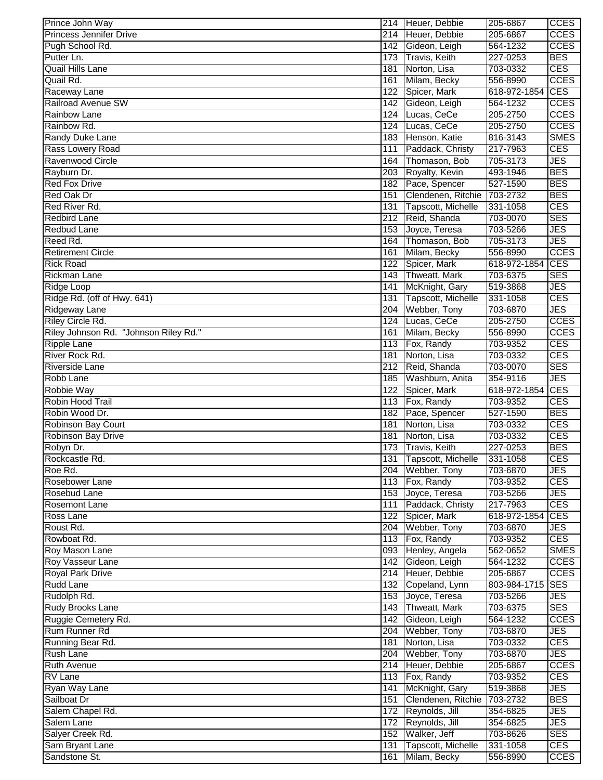| Prince John Way                       |                  | 214 Heuer, Debbie      | 205-6867         | <b>CCES</b> |
|---------------------------------------|------------------|------------------------|------------------|-------------|
| <b>Princess Jennifer Drive</b>        | 214              | Heuer, Debbie          | 205-6867         | <b>CCES</b> |
| Pugh School Rd.                       |                  | 142 Gideon, Leigh      | 564-1232         | <b>CCES</b> |
| Putter Ln.                            |                  | 173 Travis, Keith      | 227-0253         | <b>BES</b>  |
| Quail Hills Lane                      | 181              | Norton, Lisa           | 703-0332         | <b>CES</b>  |
| Quail Rd.                             | 161              | Milam, Becky           | 556-8990         | <b>CCES</b> |
| Raceway Lane                          | 122              | Spicer, Mark           | 618-972-1854     | <b>CES</b>  |
| Railroad Avenue SW                    | 142              | Gideon, Leigh          | 564-1232         | <b>CCES</b> |
| <b>Rainbow Lane</b>                   | 124              | Lucas, CeCe            | 205-2750         | <b>CCES</b> |
| Rainbow Rd.                           | 124              | Lucas, CeCe            | 205-2750         | <b>CCES</b> |
| Randy Duke Lane                       | 183              | Henson, Katie          | 816-3143         | <b>SMES</b> |
| Rass Lowery Road                      | 111              | Paddack, Christy       | 217-7963         | <b>CES</b>  |
| Ravenwood Circle                      | 164              | Thomason, Bob          | 705-3173         | <b>JES</b>  |
| Rayburn Dr.                           | 203              | Royalty, Kevin         | 493-1946         | <b>BES</b>  |
| <b>Red Fox Drive</b>                  | 182              | Pace, Spencer          | 527-1590         | <b>BES</b>  |
| Red Oak Dr                            | 151              | Clendenen, Ritchie     | 703-2732         | <b>BES</b>  |
| Red River Rd.                         | 131              | Tapscott, Michelle     | 331-1058         | <b>CES</b>  |
| <b>Redbird Lane</b>                   | 212              | Reid, Shanda           | 703-0070         | <b>SES</b>  |
| Redbud Lane                           | 153              | Joyce, Teresa          | 703-5266         | <b>JES</b>  |
| Reed Rd.                              | 164              | Thomason, Bob          | 705-3173         | <b>JES</b>  |
| <b>Retirement Circle</b>              | 161              | Milam, Becky           | 556-8990         | <b>CCES</b> |
| <b>Rick Road</b>                      | 122              | Spicer, Mark           | 618-972-1854     | <b>CES</b>  |
| <b>Rickman Lane</b>                   | 143              | Thweatt, Mark          | 703-6375         | <b>SES</b>  |
| Ridge Loop                            | 141              | McKnight, Gary         | 519-3868         | <b>JES</b>  |
| Ridge Rd. (off of Hwy. 641)           | 131              | Tapscott, Michelle     | 331-1058         | <b>CES</b>  |
| <b>Ridgeway Lane</b>                  | 204              | Webber, Tony           | 703-6870         | <b>JES</b>  |
| Riley Circle Rd.                      | 124              | Lucas, CeCe            | 205-2750         | <b>CCES</b> |
| Riley Johnson Rd. "Johnson Riley Rd." | 161              | Milam, Becky           | 556-8990         | <b>CCES</b> |
| <b>Ripple Lane</b>                    | 113              | Fox, Randy             | 703-9352         | <b>CES</b>  |
| River Rock Rd.                        | 181              | Norton, Lisa           | 703-0332         | <b>CES</b>  |
| Riverside Lane                        | 212              | Reid, Shanda           | 703-0070         | <b>SES</b>  |
| Robb Lane                             | 185              | Washburn, Anita        | 354-9116         | <b>JES</b>  |
| Robbie Way                            | 122              | Spicer, Mark           | 618-972-1854     | <b>CES</b>  |
| Robin Hood Trail                      | $\overline{113}$ | Fox, Randy             | 703-9352         | <b>CES</b>  |
| Robin Wood Dr.                        | 182              | Pace, Spencer          | 527-1590         | <b>BES</b>  |
| <b>Robinson Bay Court</b>             | 181              | Norton, Lisa           | 703-0332         | <b>CES</b>  |
| <b>Robinson Bay Drive</b>             | 181              | Norton, Lisa           | 703-0332         | <b>CES</b>  |
| Robyn Dr.                             |                  | 173 Travis, Keith      | 227-0253         | <b>BES</b>  |
| Rockcastle Rd.                        |                  | 131 Tapscott, Michelle | 331-1058         | <b>CES</b>  |
| Roe Rd.                               |                  | 204 Webber, Tony       | 703-6870         | <b>JES</b>  |
| Rosebower Lane                        |                  | 113 Fox, Randy         | 703-9352         | <b>CES</b>  |
| Rosebud Lane                          |                  | 153 Joyce, Teresa      | 703-5266         | JES         |
| <b>Rosemont Lane</b>                  | 111              | Paddack, Christy       | 217-7963         | <b>CES</b>  |
| Ross Lane                             |                  | 122 Spicer, Mark       | 618-972-1854     | <b>CES</b>  |
| Roust Rd.                             |                  | 204 Webber, Tony       | 703-6870         | <b>JES</b>  |
| Rowboat Rd.                           |                  | 113 Fox, Randy         | 703-9352         | <b>CES</b>  |
| Roy Mason Lane                        |                  | 093 Henley, Angela     | 562-0652         | <b>SMES</b> |
| Roy Vasseur Lane                      |                  | 142 Gideon, Leigh      | 564-1232         | <b>CCES</b> |
| <b>Royal Park Drive</b>               |                  | 214 Heuer, Debbie      | 205-6867         | <b>CCES</b> |
| Rudd Lane                             |                  | 132 Copeland, Lynn     | 803-984-1715 SES |             |
| Rudolph Rd.                           |                  | 153 Joyce, Teresa      | 703-5266         | <b>JES</b>  |
| Rudy Brooks Lane                      |                  | 143 Thweatt, Mark      | 703-6375         | <b>SES</b>  |
| Ruggie Cemetery Rd.                   |                  | 142 Gideon, Leigh      | 564-1232         | <b>CCES</b> |
| Rum Runner Rd                         |                  | 204 Webber, Tony       | 703-6870         | <b>JES</b>  |
| Running Bear Rd.                      |                  | 181 Norton, Lisa       | 703-0332         | <b>CES</b>  |
| Rush Lane                             |                  | 204 Webber, Tony       | 703-6870         | <b>JES</b>  |
| <b>Ruth Avenue</b>                    |                  | 214 Heuer, Debbie      | 205-6867         | <b>CCES</b> |
| RV Lane                               |                  | 113 Fox, Randy         | 703-9352         | <b>CES</b>  |
| Ryan Way Lane                         | 141              | McKnight, Gary         | 519-3868         | <b>JES</b>  |
| Sailboat Dr                           |                  | 151 Clendenen, Ritchie | 703-2732         | <b>BES</b>  |
| Salem Chapel Rd.                      |                  | 172 Reynolds, Jill     | 354-6825         | <b>JES</b>  |
| Salem Lane                            |                  | 172 Reynolds, Jill     | 354-6825         | <b>JES</b>  |
| Salyer Creek Rd.                      |                  | 152 Walker, Jeff       | 703-8626         | <b>SES</b>  |
| Sam Bryant Lane                       | 131              | Tapscott, Michelle     | 331-1058         | <b>CES</b>  |
| Sandstone St.                         | 161              | Milam, Becky           | 556-8990         | <b>CCES</b> |
|                                       |                  |                        |                  |             |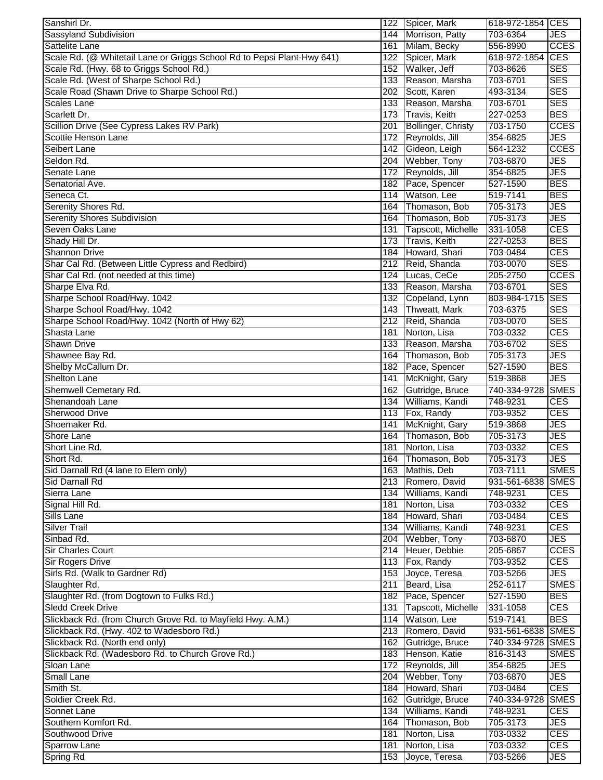| Sanshirl Dr.                                                            |     | 122 Spicer, Mark    | 618-972-1854 CES  |             |
|-------------------------------------------------------------------------|-----|---------------------|-------------------|-------------|
| Sassyland Subdivision                                                   | 144 | Morrison, Patty     | 703-6364          | JES         |
| Sattelite Lane                                                          | 161 | Milam, Becky        | 556-8990          | <b>CCES</b> |
| Scale Rd. (@ Whitetail Lane or Griggs School Rd to Pepsi Plant-Hwy 641) | 122 | Spicer, Mark        | 618-972-1854      | <b>CES</b>  |
| Scale Rd. (Hwy. 68 to Griggs School Rd.)                                |     | 152 Walker, Jeff    | 703-8626          | <b>SES</b>  |
| Scale Rd. (West of Sharpe School Rd.)                                   |     | 133 Reason, Marsha  | 703-6701          | <b>SES</b>  |
| Scale Road (Shawn Drive to Sharpe School Rd.)                           |     | 202 Scott, Karen    | 493-3134          | <b>SES</b>  |
| <b>Scales Lane</b>                                                      |     | 133 Reason, Marsha  | 703-6701          | <b>SES</b>  |
| Scarlett Dr.                                                            |     | 173 Travis, Keith   | 227-0253          | <b>BES</b>  |
| Scillion Drive (See Cypress Lakes RV Park)                              | 201 | Bollinger, Christy  | 703-1750          | <b>CCES</b> |
| Scottie Henson Lane                                                     | 172 | Reynolds, Jill      | 354-6825          | JES         |
| Seibert Lane                                                            | 142 | Gideon, Leigh       | 564-1232          | <b>CCES</b> |
| Seldon Rd.                                                              | 204 | Webber, Tony        | 703-6870          | JES         |
| Senate Lane                                                             | 172 | Reynolds, Jill      | 354-6825          | JES         |
| Senatorial Ave.                                                         | 182 | Pace, Spencer       | 527-1590          | <b>BES</b>  |
| Seneca Ct.                                                              | 114 | Watson, Lee         | 519-7141          | <b>BES</b>  |
| Serenity Shores Rd.                                                     | 164 | Thomason, Bob       | 705-3173          | JES         |
| <b>Serenity Shores Subdivision</b>                                      | 164 | Thomason, Bob       | 705-3173          | JES         |
| Seven Oaks Lane                                                         | 131 | Tapscott, Michelle  | 331-1058          | CES         |
| Shady Hill Dr.                                                          | 173 | Travis, Keith       | 227-0253          | <b>BES</b>  |
| <b>Shannon Drive</b>                                                    | 184 | Howard, Shari       | 703-0484          | <b>CES</b>  |
| Shar Cal Rd. (Between Little Cypress and Redbird)                       |     | 212 Reid, Shanda    | 703-0070          | <b>SES</b>  |
| Shar Cal Rd. (not needed at this time)                                  |     | 124 Lucas, CeCe     | 205-2750          | <b>CCES</b> |
| Sharpe Elva Rd.                                                         |     | 133 Reason, Marsha  | 703-6701          | <b>SES</b>  |
| Sharpe School Road/Hwy. 1042                                            |     | 132 Copeland, Lynn  | 803-984-1715 SES  |             |
| Sharpe School Road/Hwy. 1042                                            |     | 143 Thweatt, Mark   | 703-6375          | <b>SES</b>  |
| Sharpe School Road/Hwy. 1042 (North of Hwy 62)                          |     | 212 Reid, Shanda    | 703-0070          | <b>SES</b>  |
| Shasta Lane                                                             | 181 | Norton, Lisa        | 703-0332          | CES         |
| <b>Shawn Drive</b>                                                      | 133 | Reason, Marsha      | 703-6702          | <b>SES</b>  |
| Shawnee Bay Rd.                                                         | 164 | Thomason, Bob       | 705-3173          | JES         |
| Shelby McCallum Dr.                                                     | 182 | Pace, Spencer       | 527-1590          | <b>BES</b>  |
| <b>Shelton Lane</b>                                                     | 141 | McKnight, Gary      | 519-3868          | JES         |
| Shemwell Cemetary Rd.                                                   | 162 | Gutridge, Bruce     | 740-334-9728      | <b>SMES</b> |
| Shenandoah Lane                                                         | 134 | Williams, Kandi     | 748-9231          | <b>CES</b>  |
| <b>Sherwood Drive</b>                                                   | 113 | Fox, Randy          | 703-9352          | <b>CES</b>  |
| Shoemaker Rd.                                                           | 141 | McKnight, Gary      | 519-3868          | JES         |
| Shore Lane                                                              | 164 | Thomason, Bob       | 705-3173          | JES         |
| Short Line Rd.                                                          |     | 181 Norton, Lisa    | 703-0332          | CES         |
| Short Rd.                                                               |     | 164 Thomason, Bob   | 705-3173          | JES         |
| Sid Darnall Rd (4 lane to Elem only)                                    |     | 163 Mathis, Deb     | 703-7111          | <b>SMES</b> |
| Sid Darnall Rd                                                          |     | 213 Romero, David   | 931-561-6838 SMES |             |
| Sierra Lane                                                             |     | 134 Williams, Kandi | 748-9231          | CES         |
| Signal Hill Rd.                                                         | 181 | Norton, Lisa        | 703-0332          | <b>CES</b>  |
| Sills Lane                                                              |     | 184 Howard, Shari   | 703-0484          | <b>CES</b>  |
| <b>Silver Trail</b>                                                     |     | 134 Williams, Kandi | 748-9231          | CES         |
| Sinbad Rd.                                                              | 204 | Webber, Tony        | 703-6870          | JES         |
| <b>Sir Charles Court</b>                                                |     | 214 Heuer, Debbie   | 205-6867          | <b>CCES</b> |
| <b>Sir Rogers Drive</b>                                                 |     | 113 Fox, Randy      | 703-9352          | CES         |
| Sirls Rd. (Walk to Gardner Rd)                                          |     | 153 Joyce, Teresa   | 703-5266          | JES         |
| Slaughter Rd.                                                           | 211 | Beard, Lisa         | 252-6117          | <b>SMES</b> |
| Slaughter Rd. (from Dogtown to Fulks Rd.)                               |     | 182 Pace, Spencer   | 527-1590          | <b>BES</b>  |
| <b>Sledd Creek Drive</b>                                                | 131 | Tapscott, Michelle  | 331-1058          | CES         |
| Slickback Rd. (from Church Grove Rd. to Mayfield Hwy. A.M.)             |     | 114 Watson, Lee     | 519-7141          | <b>BES</b>  |
|                                                                         |     |                     |                   |             |
| Slickback Rd. (Hwy. 402 to Wadesboro Rd.)                               |     | 213 Romero, David   | 931-561-6838 SMES |             |
| Slickback Rd. (North end only)                                          |     | 162 Gutridge, Bruce | 740-334-9728 SMES |             |
| Slickback Rd. (Wadesboro Rd. to Church Grove Rd.)                       |     | 183 Henson, Katie   | 816-3143          | <b>SMES</b> |
| Sloan Lane                                                              |     | 172 Reynolds, Jill  | 354-6825          | JES         |
| <b>Small Lane</b>                                                       |     | 204 Webber, Tony    | 703-6870          | JES         |
| Smith St.                                                               |     | 184 Howard, Shari   | 703-0484          | <b>CES</b>  |
| Soldier Creek Rd.                                                       |     | 162 Gutridge, Bruce | 740-334-9728      | <b>SMES</b> |
| Sonnet Lane                                                             |     | 134 Williams, Kandi | 748-9231          | <b>CES</b>  |
| Southern Komfort Rd.                                                    |     | 164 Thomason, Bob   | 705-3173          | JES         |
| Southwood Drive                                                         | 181 | Norton, Lisa        | 703-0332          | CES         |
| <b>Sparrow Lane</b>                                                     | 181 | Norton, Lisa        | 703-0332          | CES         |
| <b>Spring Rd</b>                                                        |     | 153 Joyce, Teresa   | 703-5266          | JES         |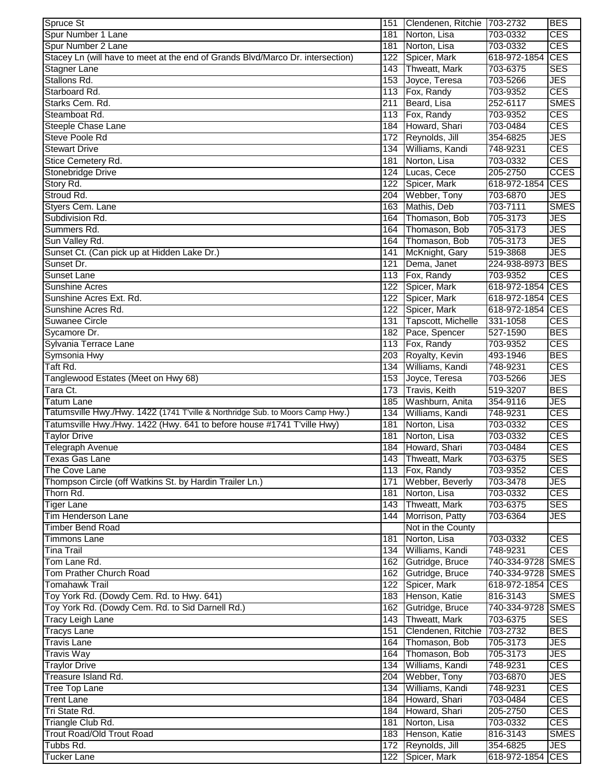| Spruce St                                                                      |            | 151 Clendenen, Ritchie 703-2732 |                      | <b>BES</b>               |
|--------------------------------------------------------------------------------|------------|---------------------------------|----------------------|--------------------------|
| Spur Number 1 Lane                                                             | 181        | Norton, Lisa                    | 703-0332             | <b>CES</b>               |
| Spur Number 2 Lane                                                             | 181        | Norton, Lisa                    | 703-0332             | <b>CES</b>               |
| Stacey Ln (will have to meet at the end of Grands Blvd/Marco Dr. intersection) | 122        | Spicer, Mark                    | 618-972-1854 CES     |                          |
| Stagner Lane                                                                   | 143        | Thweatt, Mark                   | 703-6375             | <b>SES</b>               |
| Stallons Rd.                                                                   |            | 153 Joyce, Teresa               | 703-5266             | <b>JES</b>               |
| Starboard Rd.                                                                  |            | 113 Fox, Randy                  | 703-9352             | <b>CES</b>               |
| Starks Cem. Rd.                                                                | 211        | Beard, Lisa                     | 252-6117             | <b>SMES</b>              |
| Steamboat Rd.                                                                  |            | 113 Fox, Randy                  | 703-9352             | <b>CES</b>               |
| Steeple Chase Lane                                                             | 184        | Howard, Shari                   | 703-0484             | <b>CES</b>               |
| Steve Poole Rd                                                                 |            | 172 Reynolds, Jill              | 354-6825             | <b>JES</b>               |
| <b>Stewart Drive</b>                                                           | 134        | Williams, Kandi                 | 748-9231             | <b>CES</b>               |
| Stice Cemetery Rd.                                                             | 181        | Norton, Lisa                    | 703-0332             | <b>CES</b>               |
| Stonebridge Drive                                                              | 124        | Lucas, Cece                     | 205-2750             | <b>CCES</b>              |
| Story Rd.                                                                      | 122        | Spicer, Mark                    | 618-972-1854         | <b>CES</b>               |
| Stroud Rd.                                                                     | 204        | Webber, Tony                    | 703-6870             | <b>JES</b>               |
| Styers Cem. Lane                                                               | 163        | Mathis, Deb                     | 703-7111             | <b>SMES</b>              |
| Subdivision Rd.                                                                | 164        | Thomason, Bob                   | 705-3173             | <b>JES</b>               |
| Summers Rd.                                                                    | 164        | Thomason, Bob                   | 705-3173             | <b>JES</b>               |
| Sun Valley Rd.                                                                 | 164        | Thomason, Bob                   | 705-3173             | <b>JES</b>               |
| Sunset Ct. (Can pick up at Hidden Lake Dr.)                                    | 141        | McKnight, Gary                  | 519-3868             | <b>JES</b>               |
| Sunset Dr.                                                                     | 121        | Dema, Janet                     | 224-938-8973         | <b>BES</b>               |
| Sunset Lane                                                                    | 113        | Fox, Randy                      | 703-9352             | <b>CES</b>               |
| <b>Sunshine Acres</b>                                                          | 122        | Spicer, Mark                    | 618-972-1854 CES     |                          |
| Sunshine Acres Ext. Rd.<br>Sunshine Acres Rd.                                  | 122        | Spicer, Mark                    | 618-972-1854 CES     |                          |
|                                                                                |            | 122 Spicer, Mark                | 618-972-1854         | <b>CES</b>               |
| <b>Suwanee Circle</b>                                                          | 131        | Tapscott, Michelle              | 331-1058             | <b>CES</b><br><b>BES</b> |
| Sycamore Dr.                                                                   | 182        | Pace, Spencer<br>Fox, Randy     | 527-1590             | <b>CES</b>               |
| Sylvania Terrace Lane<br>Symsonia Hwy                                          | 113<br>203 | Royalty, Kevin                  | 703-9352<br>493-1946 | <b>BES</b>               |
| Taft Rd.                                                                       | 134        | Williams, Kandi                 | 748-9231             | <b>CES</b>               |
| Tanglewood Estates (Meet on Hwy 68)                                            | 153        | Joyce, Teresa                   | 703-5266             | <b>JES</b>               |
| Tara Ct.                                                                       | 173        | Travis, Keith                   | 519-3207             | <b>BES</b>               |
| <b>Tatum Lane</b>                                                              | 185        | Washburn, Anita                 | 354-9116             | <b>JES</b>               |
| Tatumsville Hwy./Hwy. 1422 (1741 T'ville & Northridge Sub. to Moors Camp Hwy.) | 134        | Williams, Kandi                 | 748-9231             | <b>CES</b>               |
| Tatumsville Hwy./Hwy. 1422 (Hwy. 641 to before house #1741 T'ville Hwy)        | 181        | Norton, Lisa                    | 703-0332             | <b>CES</b>               |
| <b>Taylor Drive</b>                                                            | 181        | Norton, Lisa                    | 703-0332             | <b>CES</b>               |
| <b>Telegraph Avenue</b>                                                        | 184        | Howard, Shari                   | 703-0484             | <b>CES</b>               |
| Texas Gas Lane                                                                 |            | 143 Thweatt, Mark               | 703-6375             | <b>SES</b>               |
| The Cove Lane                                                                  |            | 113 Fox, Randy                  | 703-9352             | <b>CES</b>               |
| Thompson Circle (off Watkins St. by Hardin Trailer Ln.)                        |            | 171 Webber, Beverly             | 703-3478             | <b>JES</b>               |
| Thorn Rd.                                                                      |            | 181 Norton, Lisa                | 703-0332             | <b>CES</b>               |
| <b>Tiger Lane</b>                                                              |            | 143 Thweatt, Mark               | 703-6375             | <b>SES</b>               |
| <b>Tim Henderson Lane</b>                                                      | 144        | Morrison, Patty                 | 703-6364             | JES                      |
| <b>Timber Bend Road</b>                                                        |            | Not in the County               |                      |                          |
| <b>Timmons Lane</b>                                                            | 181        | Norton, Lisa                    | 703-0332             | <b>CES</b>               |
| <b>Tina Trail</b>                                                              |            | 134 Williams, Kandi             | 748-9231             | <b>CES</b>               |
| Tom Lane Rd.                                                                   |            | 162 Gutridge, Bruce             | 740-334-9728 SMES    |                          |
| Tom Prather Church Road                                                        |            | 162 Gutridge, Bruce             | 740-334-9728 SMES    |                          |
| <b>Tomahawk Trail</b>                                                          |            | 122 Spicer, Mark                | 618-972-1854 CES     |                          |
| Toy York Rd. (Dowdy Cem. Rd. to Hwy. 641)                                      |            | 183 Henson, Katie               | 816-3143             | <b>SMES</b>              |
| Toy York Rd. (Dowdy Cem. Rd. to Sid Darnell Rd.)                               |            | 162 Gutridge, Bruce             | 740-334-9728 SMES    |                          |
| <b>Tracy Leigh Lane</b>                                                        |            | 143 Thweatt, Mark               | 703-6375             | <b>SES</b>               |
| <b>Tracys Lane</b>                                                             |            | 151 Clendenen, Ritchie          | 703-2732             | <b>BES</b>               |
| <b>Travis Lane</b>                                                             |            | 164 Thomason, Bob               | 705-3173             | <b>JES</b>               |
| <b>Travis Way</b>                                                              |            | 164 Thomason, Bob               | 705-3173             | <b>JES</b>               |
| <b>Traylor Drive</b>                                                           |            | 134 Williams, Kandi             | 748-9231             | <b>CES</b>               |
| Treasure Island Rd.                                                            |            | 204 Webber, Tony                | 703-6870             | <b>JES</b>               |
| <b>Tree Top Lane</b>                                                           |            | 134 Williams, Kandi             | 748-9231             | <b>CES</b>               |
| <b>Trent Lane</b>                                                              |            | 184 Howard, Shari               | 703-0484             | <b>CES</b>               |
| Tri State Rd.                                                                  |            | 184 Howard, Shari               | 205-2750             | <b>CES</b>               |
| Triangle Club Rd.                                                              |            | 181 Norton, Lisa                | 703-0332             | <b>CES</b>               |
| <b>Trout Road/Old Trout Road</b>                                               |            | 183 Henson, Katie               | 816-3143             | <b>SMES</b>              |
| Tubbs Rd.                                                                      |            | 172 Reynolds, Jill              | 354-6825             | <b>JES</b>               |
| <b>Tucker Lane</b>                                                             | 122        | Spicer, Mark                    | 618-972-1854 CES     |                          |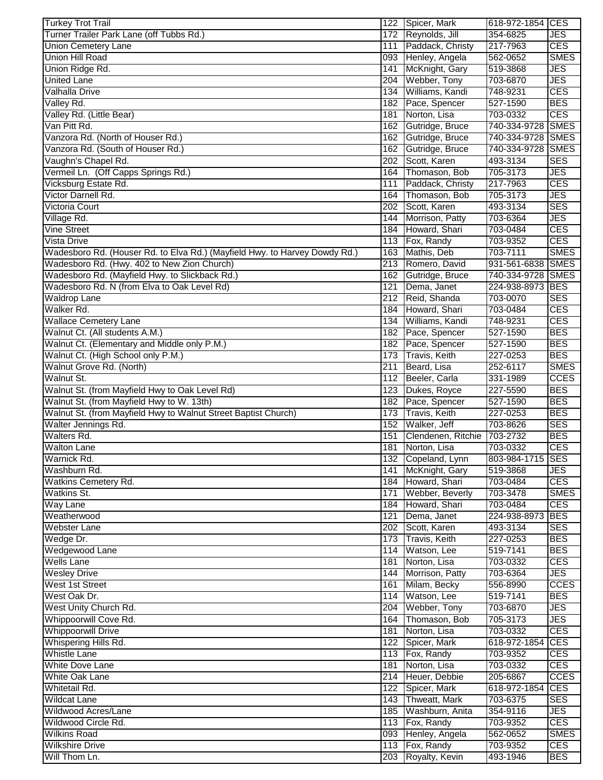| <b>Turkey Trot Trail</b>                                                   |     | 122 Spicer, Mark     | 618-972-1854 CES  |             |
|----------------------------------------------------------------------------|-----|----------------------|-------------------|-------------|
| Turner Trailer Park Lane (off Tubbs Rd.)                                   |     | 172 Reynolds, Jill   | 354-6825          | <b>JES</b>  |
| <b>Union Cemetery Lane</b>                                                 |     | 111 Paddack, Christy | 217-7963          | CES         |
| <b>Union Hill Road</b>                                                     |     | 093 Henley, Angela   | 562-0652          | <b>SMES</b> |
| Union Ridge Rd.                                                            | 141 | McKnight, Gary       | 519-3868          | <b>JES</b>  |
| <b>United Lane</b>                                                         | 204 | Webber, Tony         | 703-6870          | <b>JES</b>  |
| Valhalla Drive                                                             | 134 | Williams, Kandi      | 748-9231          | <b>CES</b>  |
| Valley Rd.                                                                 | 182 | Pace, Spencer        | 527-1590          | <b>BES</b>  |
| Valley Rd. (Little Bear)                                                   | 181 | Norton, Lisa         | 703-0332          | CES         |
| Van Pitt Rd.                                                               | 162 | Gutridge, Bruce      | 740-334-9728 SMES |             |
| Vanzora Rd. (North of Houser Rd.)                                          | 162 | Gutridge, Bruce      | 740-334-9728 SMES |             |
|                                                                            |     |                      |                   |             |
| Vanzora Rd. (South of Houser Rd.)                                          | 162 | Gutridge, Bruce      | 740-334-9728 SMES |             |
| Vaughn's Chapel Rd.                                                        | 202 | Scott, Karen         | 493-3134          | <b>SES</b>  |
| Vermeil Ln. (Off Capps Springs Rd.)                                        | 164 | Thomason, Bob        | 705-3173          | <b>JES</b>  |
| Vicksburg Estate Rd.                                                       | 111 | Paddack, Christy     | 217-7963          | <b>CES</b>  |
| Victor Darnell Rd.                                                         | 164 | Thomason, Bob        | 705-3173          | <b>JES</b>  |
| Victoria Court                                                             | 202 | Scott, Karen         | 493-3134          | <b>SES</b>  |
| Village Rd.                                                                | 144 | Morrison, Patty      | 703-6364          | <b>JES</b>  |
| <b>Vine Street</b>                                                         | 184 | Howard, Shari        | 703-0484          | <b>CES</b>  |
| <b>Vista Drive</b>                                                         | 113 | Fox, Randy           | 703-9352          | <b>CES</b>  |
| Wadesboro Rd. (Houser Rd. to Elva Rd.) (Mayfield Hwy. to Harvey Dowdy Rd.) | 163 | Mathis, Deb          | 703-7111          | <b>SMES</b> |
| Wadesboro Rd. (Hwy. 402 to New Zion Church)                                |     | 213 Romero, David    | 931-561-6838 SMES |             |
| Wadesboro Rd. (Mayfield Hwy. to Slickback Rd.)                             | 162 | Gutridge, Bruce      | 740-334-9728 SMES |             |
| Wadesboro Rd. N (from Elva to Oak Level Rd)                                | 121 | Dema, Janet          | 224-938-8973 BES  |             |
| <b>Waldrop Lane</b>                                                        | 212 | Reid, Shanda         | 703-0070          | <b>SES</b>  |
| Walker Rd.                                                                 | 184 | Howard, Shari        | 703-0484          | <b>CES</b>  |
|                                                                            |     | Williams, Kandi      |                   | <b>CES</b>  |
| <b>Wallace Cemetery Lane</b>                                               | 134 |                      | 748-9231          |             |
| Walnut Ct. (All students A.M.)                                             | 182 | Pace, Spencer        | 527-1590          | <b>BES</b>  |
| Walnut Ct. (Elementary and Middle only P.M.)                               | 182 | Pace, Spencer        | 527-1590          | <b>BES</b>  |
| Walnut Ct. (High School only P.M.)                                         | 173 | Travis, Keith        | 227-0253          | <b>BES</b>  |
| Walnut Grove Rd. (North)                                                   | 211 | Beard, Lisa          | 252-6117          | <b>SMES</b> |
| Walnut St.                                                                 | 112 | Beeler, Carla        | 331-1989          | <b>CCES</b> |
| Walnut St. (from Mayfield Hwy to Oak Level Rd)                             | 123 | Dukes, Royce         | 227-5590          | <b>BES</b>  |
| Walnut St. (from Mayfield Hwy to W. 13th)                                  | 182 | Pace, Spencer        | 527-1590          | <b>BES</b>  |
| Walnut St. (from Mayfield Hwy to Walnut Street Baptist Church)             | 173 | Travis, Keith        | 227-0253          | <b>BES</b>  |
| Walter Jennings Rd.                                                        | 152 | Walker, Jeff         | 703-8626          | <b>SES</b>  |
| Walters Rd.                                                                | 151 | Clendenen, Ritchie   | 703-2732          | <b>BES</b>  |
| <b>Walton Lane</b>                                                         |     | 181 Norton, Lisa     | 703-0332          | CES         |
| Warnick Rd.                                                                |     | 132 Copeland, Lynn   | 803-984-1715 SES  |             |
| Washburn Rd.                                                               |     | 141 McKnight, Gary   | 519-3868          | <b>JES</b>  |
| Watkins Cemetery Rd.                                                       |     | 184 Howard, Shari    | 703-0484          | <b>CES</b>  |
| Watkins St.                                                                | 171 | Webber, Beverly      | 703-3478          | <b>SMES</b> |
| Way Lane                                                                   |     | 184 Howard, Shari    | 703-0484          | <b>CES</b>  |
|                                                                            |     |                      |                   |             |
| Weatherwood                                                                | 121 | Dema, Janet          | 224-938-8973 BES  |             |
| <b>Webster Lane</b>                                                        |     | 202 Scott, Karen     | 493-3134          | <b>SES</b>  |
| Wedge Dr.                                                                  |     | 173 Travis, Keith    | 227-0253          | <b>BES</b>  |
| Wedgewood Lane                                                             |     | 114 Watson, Lee      | 519-7141          | <b>BES</b>  |
| <b>Wells Lane</b>                                                          | 181 | Norton, Lisa         | 703-0332          | <b>CES</b>  |
| <b>Wesley Drive</b>                                                        |     | 144 Morrison, Patty  | 703-6364          | <b>JES</b>  |
| West 1st Street                                                            |     | 161 Milam, Becky     | 556-8990          | <b>CCES</b> |
| West Oak Dr.                                                               |     | 114 Watson, Lee      | 519-7141          | <b>BES</b>  |
| West Unity Church Rd.                                                      |     | 204 Webber, Tony     | 703-6870          | <b>JES</b>  |
| Whippoorwill Cove Rd.                                                      |     | 164 Thomason, Bob    | 705-3173          | <b>JES</b>  |
| <b>Whippoorwill Drive</b>                                                  |     | 181 Norton, Lisa     | 703-0332          | <b>CES</b>  |
| Whispering Hills Rd.                                                       |     | 122 Spicer, Mark     | 618-972-1854 CES  |             |
| <b>Whistle Lane</b>                                                        |     | 113 Fox, Randy       | 703-9352          | <b>CES</b>  |
| White Dove Lane                                                            | 181 | Norton, Lisa         | 703-0332          | <b>CES</b>  |
| White Oak Lane                                                             |     | 214 Heuer, Debbie    | 205-6867          | <b>CCES</b> |
| Whitetail Rd.                                                              |     | 122 Spicer, Mark     | 618-972-1854 CES  |             |
| <b>Wildcat Lane</b>                                                        |     | 143 Thweatt, Mark    | 703-6375          | <b>SES</b>  |
| Wildwood Acres/Lane                                                        |     | 185 Washburn, Anita  | 354-9116          | <b>JES</b>  |
|                                                                            |     |                      |                   |             |
| Wildwood Circle Rd.                                                        |     | 113 Fox, Randy       | 703-9352          | <b>CES</b>  |
| <b>Wilkins Road</b>                                                        |     | 093 Henley, Angela   | 562-0652          | <b>SMES</b> |
| <b>Wilkshire Drive</b>                                                     |     | 113 Fox, Randy       | 703-9352          | <b>CES</b>  |
| Will Thom Ln.                                                              |     | 203 Royalty, Kevin   | 493-1946          | <b>BES</b>  |